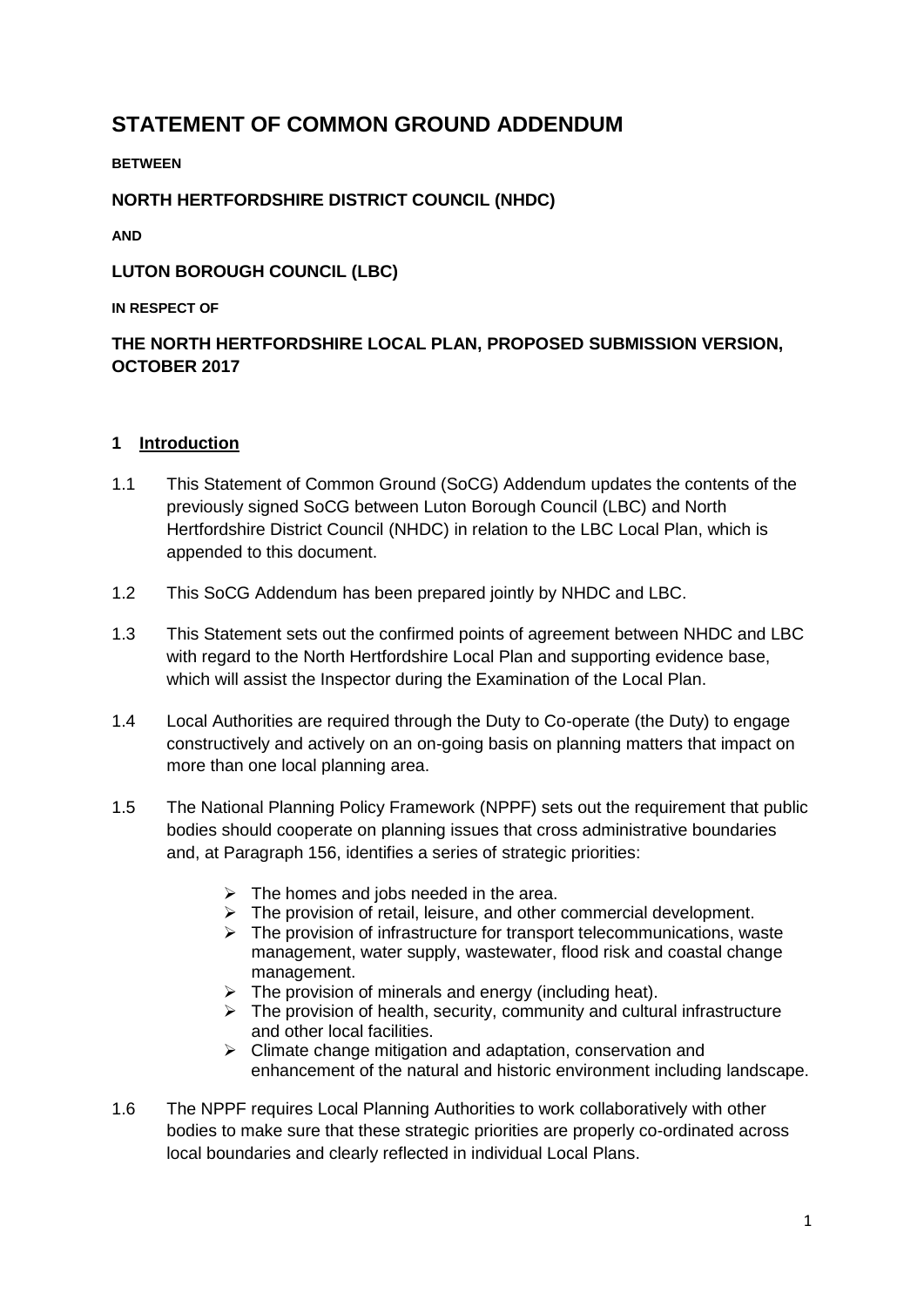# **STATEMENT OF COMMON GROUND ADDENDUM**

### **BETWEEN**

## **NORTH HERTFORDSHIRE DISTRICT COUNCIL (NHDC)**

**AND** 

## **LUTON BOROUGH COUNCIL (LBC)**

### **IN RESPECT OF**

## **THE NORTH HERTFORDSHIRE LOCAL PLAN, PROPOSED SUBMISSION VERSION, OCTOBER 2017**

## **1 Introduction**

- 1.1 This Statement of Common Ground (SoCG) Addendum updates the contents of the previously signed SoCG between Luton Borough Council (LBC) and North Hertfordshire District Council (NHDC) in relation to the LBC Local Plan, which is appended to this document.
- 1.2 This SoCG Addendum has been prepared jointly by NHDC and LBC.
- 1.3 This Statement sets out the confirmed points of agreement between NHDC and LBC with regard to the North Hertfordshire Local Plan and supporting evidence base, which will assist the Inspector during the Examination of the Local Plan.
- 1.4 Local Authorities are required through the Duty to Co-operate (the Duty) to engage constructively and actively on an on-going basis on planning matters that impact on more than one local planning area.
- 1.5 The National Planning Policy Framework (NPPF) sets out the requirement that public bodies should cooperate on planning issues that cross administrative boundaries and, at Paragraph 156, identifies a series of strategic priorities:
	- $\triangleright$  The homes and jobs needed in the area.
	- $\triangleright$  The provision of retail, leisure, and other commercial development.
	- $\triangleright$  The provision of infrastructure for transport telecommunications, waste management, water supply, wastewater, flood risk and coastal change management.
	- $\triangleright$  The provision of minerals and energy (including heat).
	- $\triangleright$  The provision of health, security, community and cultural infrastructure and other local facilities.
	- $\triangleright$  Climate change mitigation and adaptation, conservation and enhancement of the natural and historic environment including landscape.
- 1.6 The NPPF requires Local Planning Authorities to work collaboratively with other bodies to make sure that these strategic priorities are properly co-ordinated across local boundaries and clearly reflected in individual Local Plans.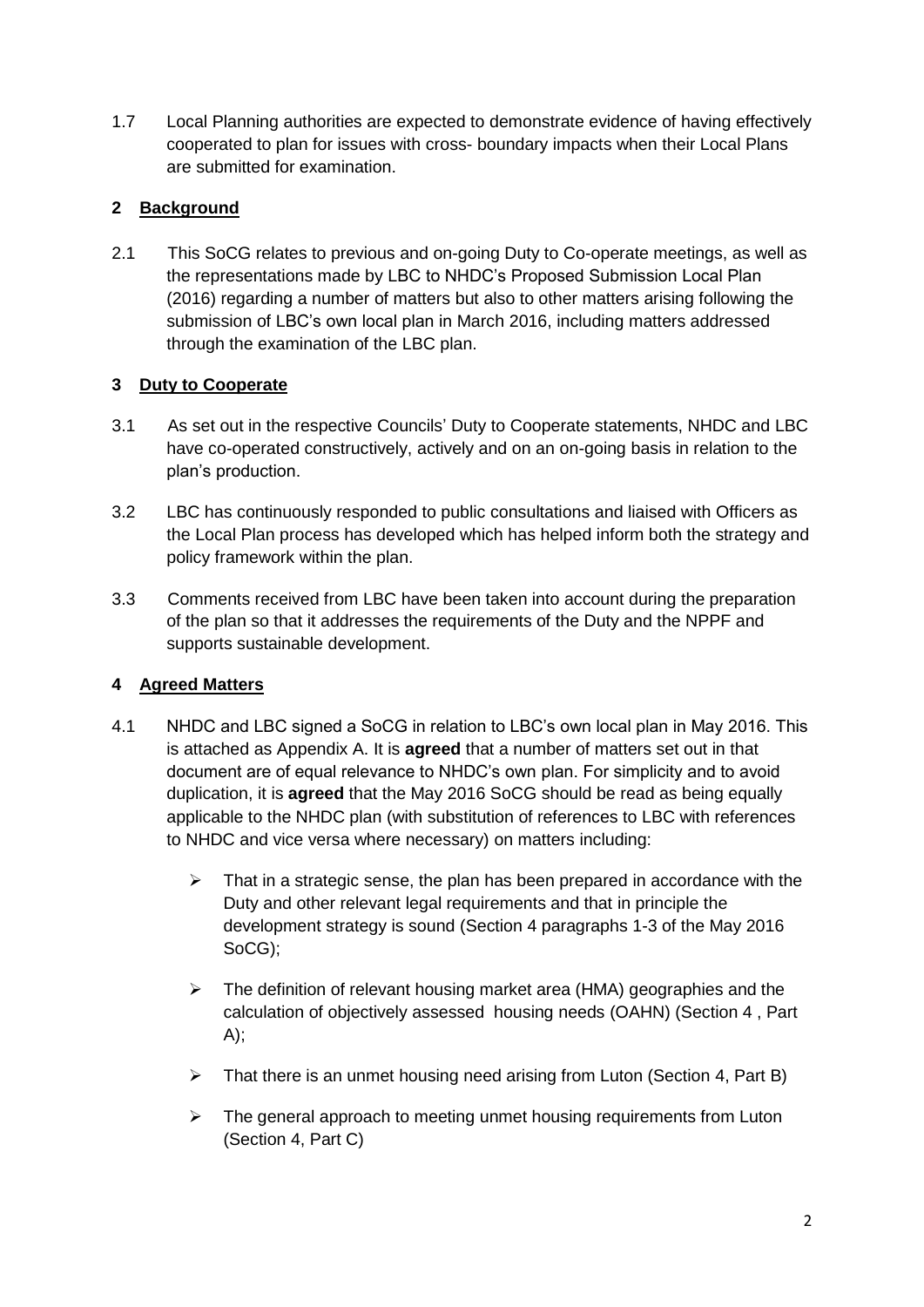1.7 Local Planning authorities are expected to demonstrate evidence of having effectively cooperated to plan for issues with cross- boundary impacts when their Local Plans are submitted for examination.

## **2 Background**

2.1 This SoCG relates to previous and on-going Duty to Co-operate meetings, as well as the representations made by LBC to NHDC's Proposed Submission Local Plan (2016) regarding a number of matters but also to other matters arising following the submission of LBC's own local plan in March 2016, including matters addressed through the examination of the LBC plan.

## **3 Duty to Cooperate**

- 3.1 As set out in the respective Councils' Duty to Cooperate statements, NHDC and LBC have co-operated constructively, actively and on an on-going basis in relation to the plan's production.
- 3.2 LBC has continuously responded to public consultations and liaised with Officers as the Local Plan process has developed which has helped inform both the strategy and policy framework within the plan.
- 3.3 Comments received from LBC have been taken into account during the preparation of the plan so that it addresses the requirements of the Duty and the NPPF and supports sustainable development.

## **4 Agreed Matters**

- 4.1 NHDC and LBC signed a SoCG in relation to LBC's own local plan in May 2016. This is attached as Appendix A. It is **agreed** that a number of matters set out in that document are of equal relevance to NHDC's own plan. For simplicity and to avoid duplication, it is **agreed** that the May 2016 SoCG should be read as being equally applicable to the NHDC plan (with substitution of references to LBC with references to NHDC and vice versa where necessary) on matters including:
	- $\triangleright$  That in a strategic sense, the plan has been prepared in accordance with the Duty and other relevant legal requirements and that in principle the development strategy is sound (Section 4 paragraphs 1-3 of the May 2016 SoCG);
	- $\triangleright$  The definition of relevant housing market area (HMA) geographies and the calculation of objectively assessed housing needs (OAHN) (Section 4 , Part  $A$ :
	- $\triangleright$  That there is an unmet housing need arising from Luton (Section 4, Part B)
	- $\triangleright$  The general approach to meeting unmet housing requirements from Luton (Section 4, Part C)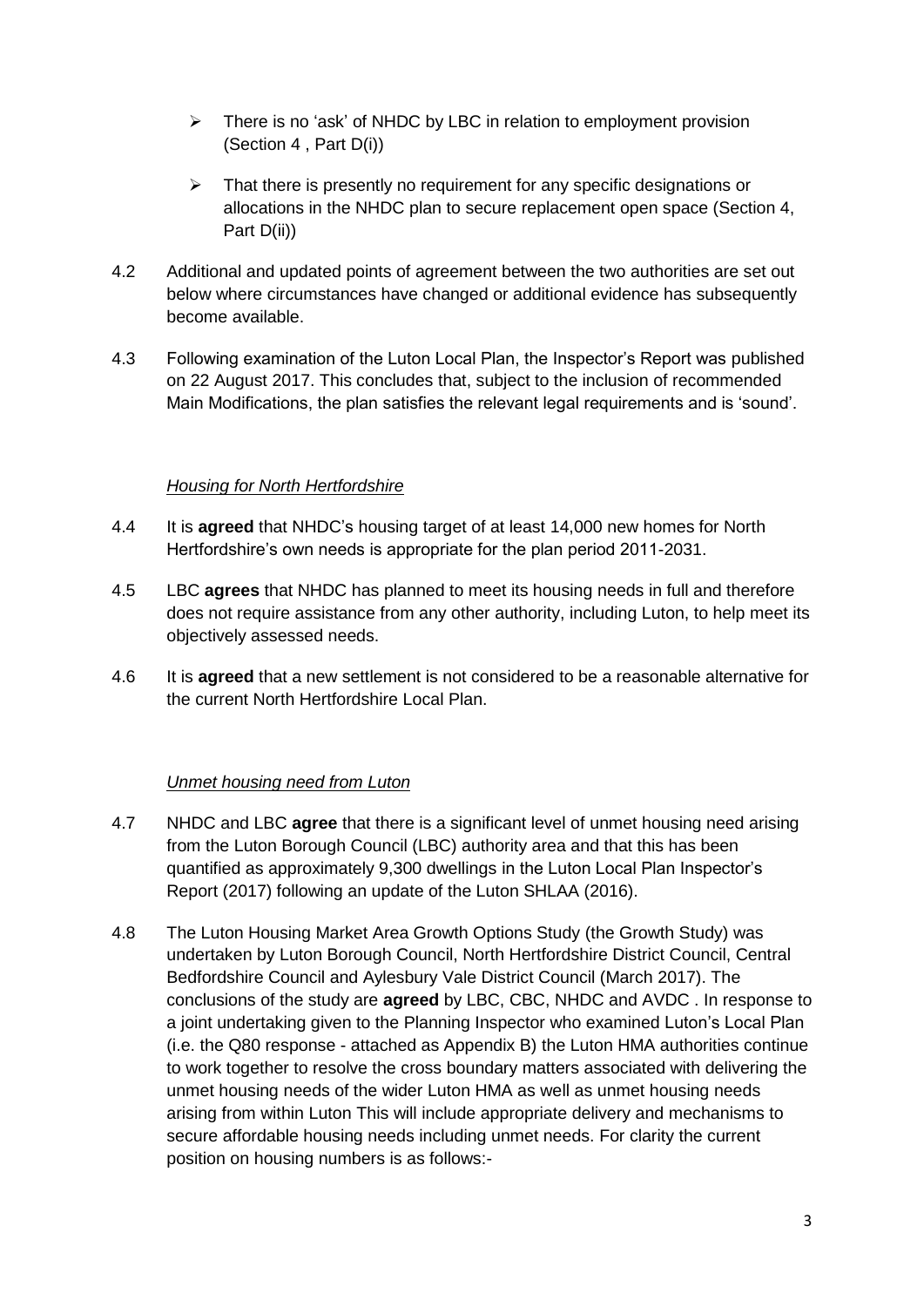- $\triangleright$  There is no 'ask' of NHDC by LBC in relation to employment provision (Section 4 , Part D(i))
- $\triangleright$  That there is presently no requirement for any specific designations or allocations in the NHDC plan to secure replacement open space (Section 4, Part D(ii))
- 4.2 Additional and updated points of agreement between the two authorities are set out below where circumstances have changed or additional evidence has subsequently become available.
- 4.3 Following examination of the Luton Local Plan, the Inspector's Report was published on 22 August 2017. This concludes that, subject to the inclusion of recommended Main Modifications, the plan satisfies the relevant legal requirements and is 'sound'.

## *Housing for North Hertfordshire*

- 4.4 It is **agreed** that NHDC's housing target of at least 14,000 new homes for North Hertfordshire's own needs is appropriate for the plan period 2011-2031.
- 4.5 LBC **agrees** that NHDC has planned to meet its housing needs in full and therefore does not require assistance from any other authority, including Luton, to help meet its objectively assessed needs.
- 4.6 It is **agreed** that a new settlement is not considered to be a reasonable alternative for the current North Hertfordshire Local Plan.

## *Unmet housing need from Luton*

- 4.7 NHDC and LBC **agree** that there is a significant level of unmet housing need arising from the Luton Borough Council (LBC) authority area and that this has been quantified as approximately 9,300 dwellings in the Luton Local Plan Inspector's Report (2017) following an update of the Luton SHLAA (2016).
- 4.8 The Luton Housing Market Area Growth Options Study (the Growth Study) was undertaken by Luton Borough Council, North Hertfordshire District Council, Central Bedfordshire Council and Aylesbury Vale District Council (March 2017). The conclusions of the study are **agreed** by LBC, CBC, NHDC and AVDC . In response to a joint undertaking given to the Planning Inspector who examined Luton's Local Plan (i.e. the Q80 response - attached as Appendix B) the Luton HMA authorities continue to work together to resolve the cross boundary matters associated with delivering the unmet housing needs of the wider Luton HMA as well as unmet housing needs arising from within Luton This will include appropriate delivery and mechanisms to secure affordable housing needs including unmet needs. For clarity the current position on housing numbers is as follows:-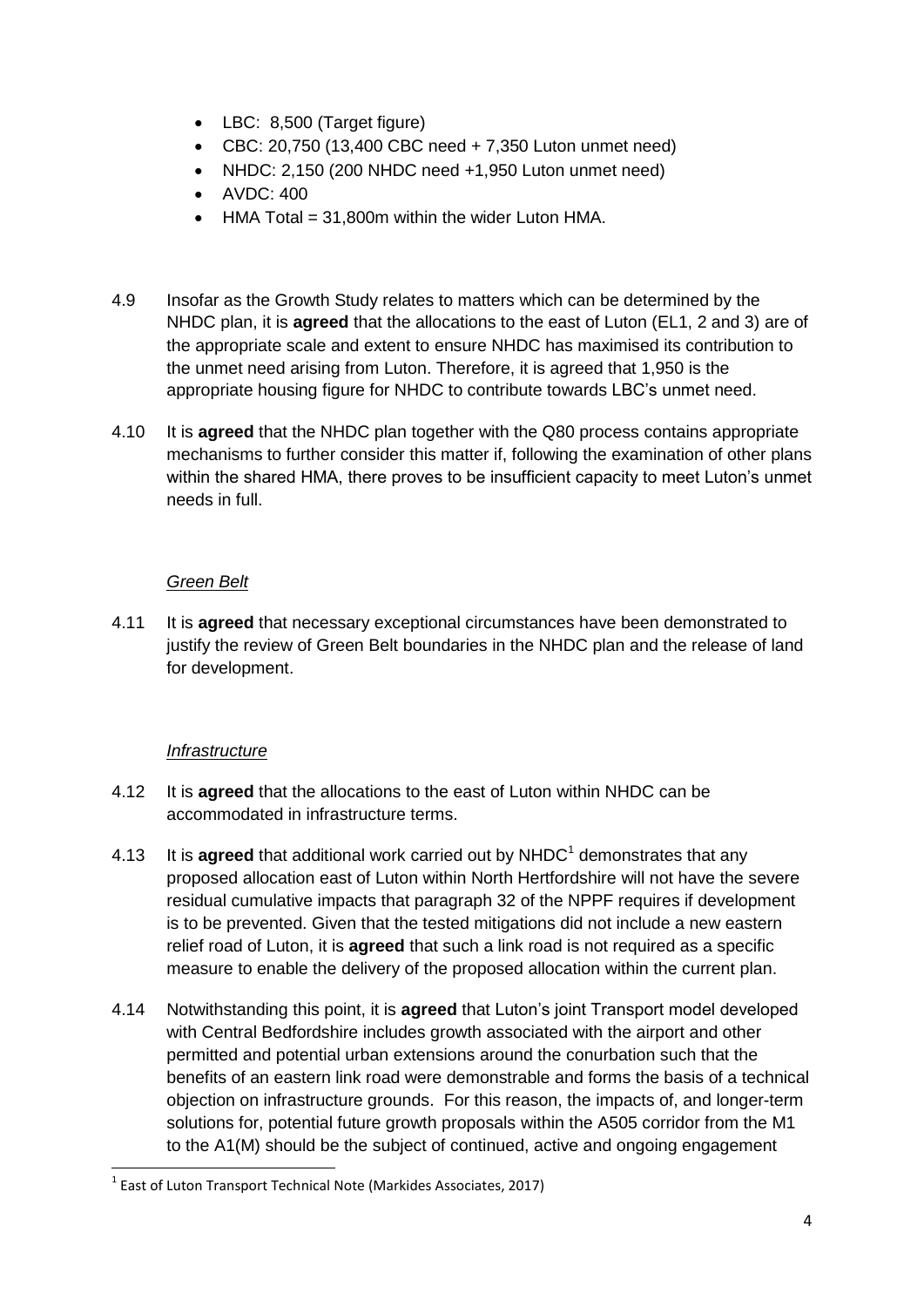- LBC: 8,500 (Target figure)
- $\bullet$  CBC: 20,750 (13,400 CBC need  $+ 7,350$  Luton unmet need)
- NHDC: 2,150 (200 NHDC need +1,950 Luton unmet need)
- AVDC: 400
- $\bullet$  HMA Total = 31,800m within the wider Luton HMA.
- 4.9 Insofar as the Growth Study relates to matters which can be determined by the NHDC plan, it is **agreed** that the allocations to the east of Luton (EL1, 2 and 3) are of the appropriate scale and extent to ensure NHDC has maximised its contribution to the unmet need arising from Luton. Therefore, it is agreed that 1,950 is the appropriate housing figure for NHDC to contribute towards LBC's unmet need.
- 4.10 It is **agreed** that the NHDC plan together with the Q80 process contains appropriate mechanisms to further consider this matter if, following the examination of other plans within the shared HMA, there proves to be insufficient capacity to meet Luton's unmet needs in full.

## *Green Belt*

4.11 It is **agreed** that necessary exceptional circumstances have been demonstrated to justify the review of Green Belt boundaries in the NHDC plan and the release of land for development.

## *Infrastructure*

- 4.12 It is **agreed** that the allocations to the east of Luton within NHDC can be accommodated in infrastructure terms.
- 4.13 It is **agreed** that additional work carried out by NHDC<sup>1</sup> demonstrates that any proposed allocation east of Luton within North Hertfordshire will not have the severe residual cumulative impacts that paragraph 32 of the NPPF requires if development is to be prevented. Given that the tested mitigations did not include a new eastern relief road of Luton, it is **agreed** that such a link road is not required as a specific measure to enable the delivery of the proposed allocation within the current plan.
- 4.14 Notwithstanding this point, it is **agreed** that Luton's joint Transport model developed with Central Bedfordshire includes growth associated with the airport and other permitted and potential urban extensions around the conurbation such that the benefits of an eastern link road were demonstrable and forms the basis of a technical objection on infrastructure grounds. For this reason, the impacts of, and longer-term solutions for, potential future growth proposals within the A505 corridor from the M1 to the A1(M) should be the subject of continued, active and ongoing engagement

 $<sup>1</sup>$  East of Luton Transport Technical Note (Markides Associates, 2017)</sup>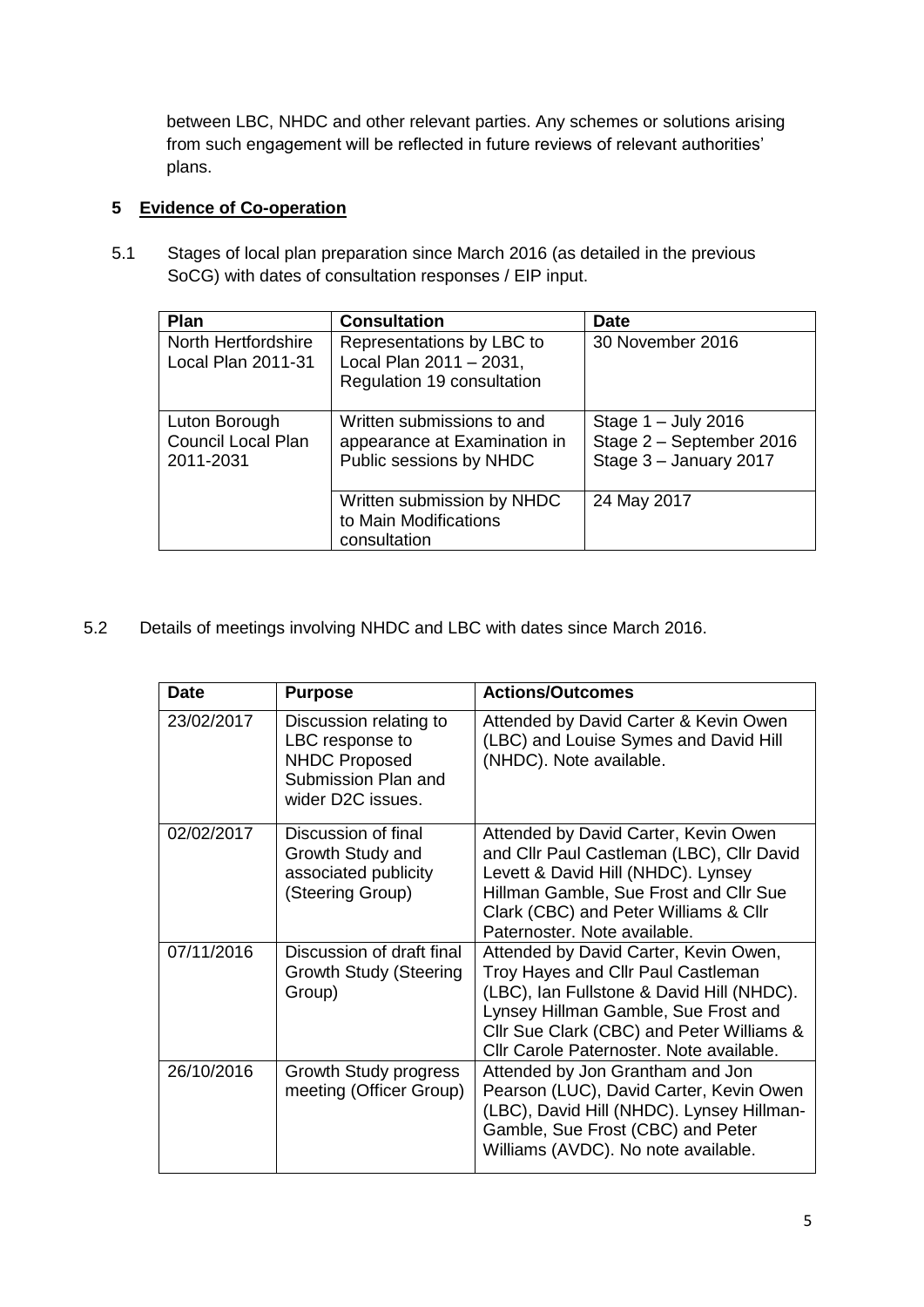between LBC, NHDC and other relevant parties. Any schemes or solutions arising from such engagement will be reflected in future reviews of relevant authorities' plans.

## **5 Evidence of Co-operation**

5.1 Stages of local plan preparation since March 2016 (as detailed in the previous SoCG) with dates of consultation responses / EIP input.

| Plan                                                    | <b>Consultation</b>                                                                   | <b>Date</b>                                                                 |
|---------------------------------------------------------|---------------------------------------------------------------------------------------|-----------------------------------------------------------------------------|
| North Hertfordshire<br><b>Local Plan 2011-31</b>        | Representations by LBC to<br>Local Plan 2011 - 2031,<br>Regulation 19 consultation    | 30 November 2016                                                            |
| Luton Borough<br><b>Council Local Plan</b><br>2011-2031 | Written submissions to and<br>appearance at Examination in<br>Public sessions by NHDC | Stage $1 -$ July 2016<br>Stage 2 - September 2016<br>Stage 3 - January 2017 |
|                                                         | Written submission by NHDC<br>to Main Modifications<br>consultation                   | 24 May 2017                                                                 |

5.2 Details of meetings involving NHDC and LBC with dates since March 2016.

| <b>Date</b> | <b>Purpose</b>                                                                                                | <b>Actions/Outcomes</b>                                                                                                                                                                                                                                   |
|-------------|---------------------------------------------------------------------------------------------------------------|-----------------------------------------------------------------------------------------------------------------------------------------------------------------------------------------------------------------------------------------------------------|
| 23/02/2017  | Discussion relating to<br>LBC response to<br><b>NHDC Proposed</b><br>Submission Plan and<br>wider D2C issues. | Attended by David Carter & Kevin Owen<br>(LBC) and Louise Symes and David Hill<br>(NHDC). Note available.                                                                                                                                                 |
| 02/02/2017  | Discussion of final<br>Growth Study and<br>associated publicity<br>(Steering Group)                           | Attended by David Carter, Kevin Owen<br>and Cllr Paul Castleman (LBC), Cllr David<br>Levett & David Hill (NHDC). Lynsey<br>Hillman Gamble, Sue Frost and Cllr Sue<br>Clark (CBC) and Peter Williams & Cllr<br>Paternoster. Note available.                |
| 07/11/2016  | Discussion of draft final<br><b>Growth Study (Steering</b><br>Group)                                          | Attended by David Carter, Kevin Owen,<br>Troy Hayes and Cllr Paul Castleman<br>(LBC), Ian Fullstone & David Hill (NHDC).<br>Lynsey Hillman Gamble, Sue Frost and<br>Cllr Sue Clark (CBC) and Peter Williams &<br>Cllr Carole Paternoster. Note available. |
| 26/10/2016  | Growth Study progress<br>meeting (Officer Group)                                                              | Attended by Jon Grantham and Jon<br>Pearson (LUC), David Carter, Kevin Owen<br>(LBC), David Hill (NHDC). Lynsey Hillman-<br>Gamble, Sue Frost (CBC) and Peter<br>Williams (AVDC). No note available.                                                      |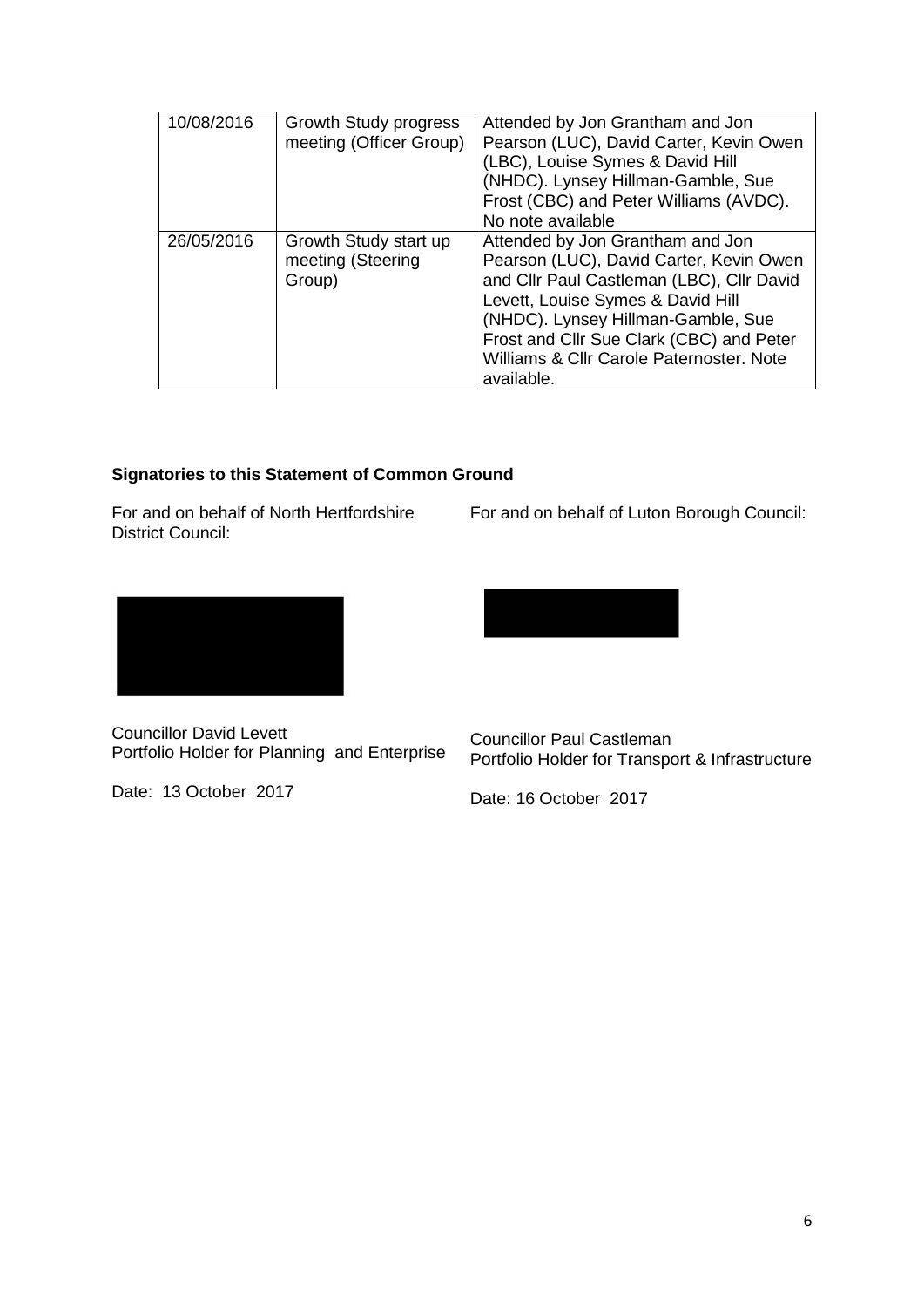| 10/08/2016 | Growth Study progress<br>meeting (Officer Group)     | Attended by Jon Grantham and Jon<br>Pearson (LUC), David Carter, Kevin Owen<br>(LBC), Louise Symes & David Hill<br>(NHDC). Lynsey Hillman-Gamble, Sue<br>Frost (CBC) and Peter Williams (AVDC).<br>No note available                                                                                      |
|------------|------------------------------------------------------|-----------------------------------------------------------------------------------------------------------------------------------------------------------------------------------------------------------------------------------------------------------------------------------------------------------|
| 26/05/2016 | Growth Study start up<br>meeting (Steering<br>Group) | Attended by Jon Grantham and Jon<br>Pearson (LUC), David Carter, Kevin Owen<br>and Cllr Paul Castleman (LBC), Cllr David<br>Levett, Louise Symes & David Hill<br>(NHDC). Lynsey Hillman-Gamble, Sue<br>Frost and Cllr Sue Clark (CBC) and Peter<br>Williams & Cllr Carole Paternoster, Note<br>available. |

## **Signatories to this Statement of Common Ground**

For and on behalf of North Hertfordshire District Council:

For and on behalf of Luton Borough Council:



Councillor David Levett Portfolio Holder for Planning and Enterprise

Date: 13 October 2017



Councillor Paul Castleman Portfolio Holder for Transport & Infrastructure

Date: 16 October 2017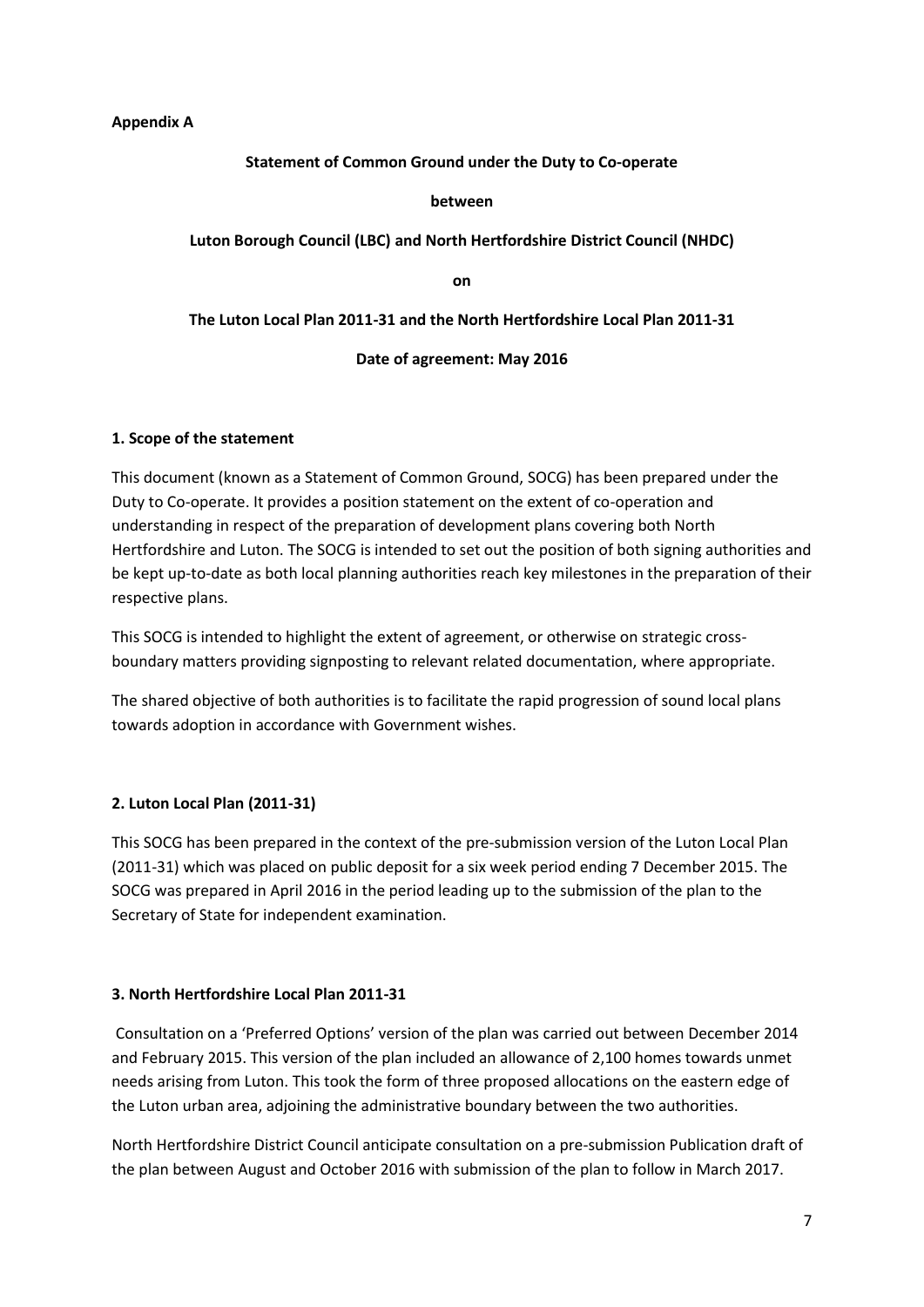#### **Appendix A**

**Statement of Common Ground under the Duty to Co-operate**

**between**

**Luton Borough Council (LBC) and North Hertfordshire District Council (NHDC)**

**on**

**The Luton Local Plan 2011-31 and the North Hertfordshire Local Plan 2011-31**

**Date of agreement: May 2016**

#### **1. Scope of the statement**

This document (known as a Statement of Common Ground, SOCG) has been prepared under the Duty to Co-operate. It provides a position statement on the extent of co-operation and understanding in respect of the preparation of development plans covering both North Hertfordshire and Luton. The SOCG is intended to set out the position of both signing authorities and be kept up-to-date as both local planning authorities reach key milestones in the preparation of their respective plans.

This SOCG is intended to highlight the extent of agreement, or otherwise on strategic crossboundary matters providing signposting to relevant related documentation, where appropriate.

The shared objective of both authorities is to facilitate the rapid progression of sound local plans towards adoption in accordance with Government wishes.

### **2. Luton Local Plan (2011-31)**

This SOCG has been prepared in the context of the pre-submission version of the Luton Local Plan (2011-31) which was placed on public deposit for a six week period ending 7 December 2015. The SOCG was prepared in April 2016 in the period leading up to the submission of the plan to the Secretary of State for independent examination.

#### **3. North Hertfordshire Local Plan 2011-31**

Consultation on a 'Preferred Options' version of the plan was carried out between December 2014 and February 2015. This version of the plan included an allowance of 2,100 homes towards unmet needs arising from Luton. This took the form of three proposed allocations on the eastern edge of the Luton urban area, adjoining the administrative boundary between the two authorities.

North Hertfordshire District Council anticipate consultation on a pre-submission Publication draft of the plan between August and October 2016 with submission of the plan to follow in March 2017.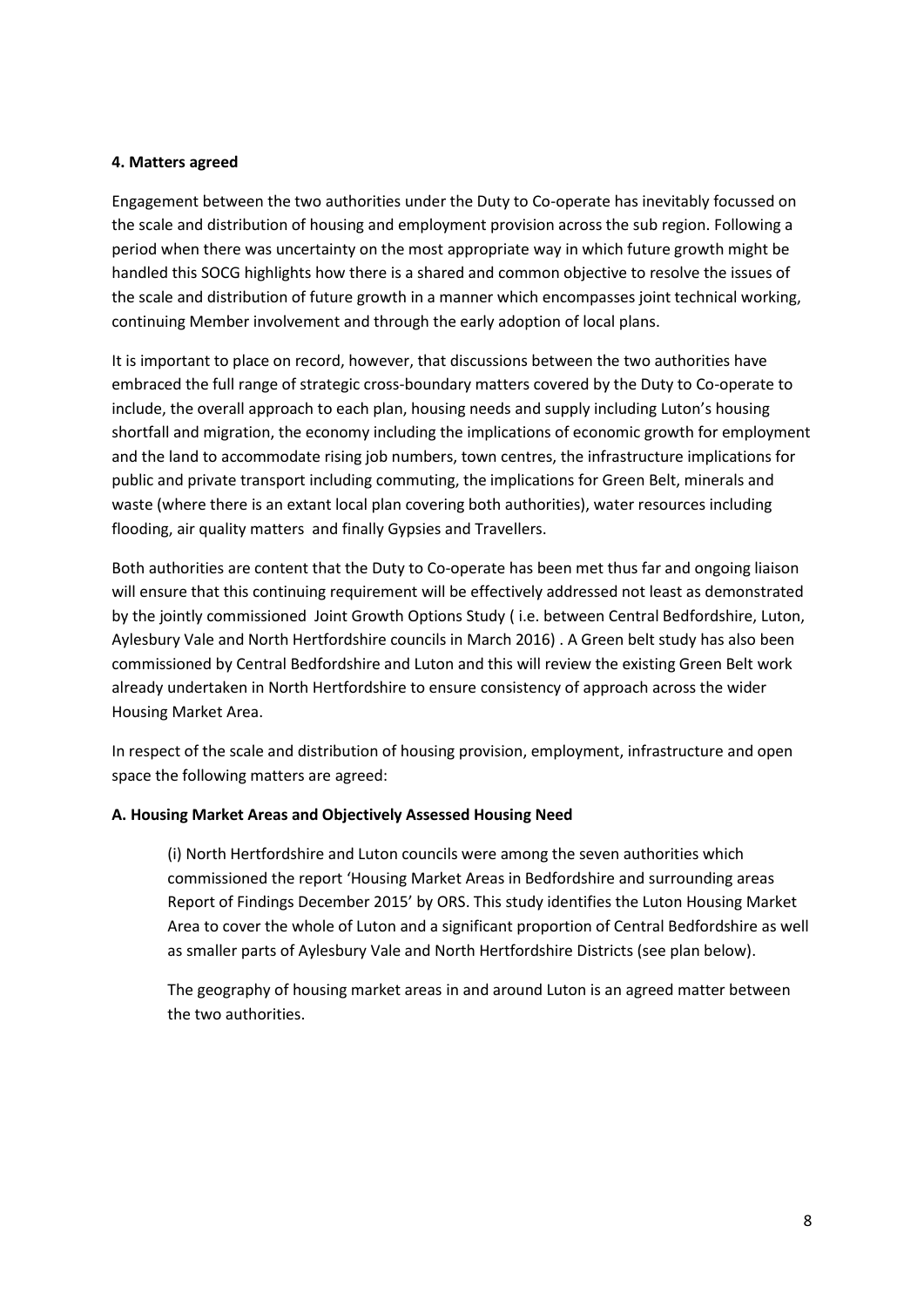#### **4. Matters agreed**

Engagement between the two authorities under the Duty to Co-operate has inevitably focussed on the scale and distribution of housing and employment provision across the sub region. Following a period when there was uncertainty on the most appropriate way in which future growth might be handled this SOCG highlights how there is a shared and common objective to resolve the issues of the scale and distribution of future growth in a manner which encompasses joint technical working, continuing Member involvement and through the early adoption of local plans.

It is important to place on record, however, that discussions between the two authorities have embraced the full range of strategic cross-boundary matters covered by the Duty to Co-operate to include, the overall approach to each plan, housing needs and supply including Luton's housing shortfall and migration, the economy including the implications of economic growth for employment and the land to accommodate rising job numbers, town centres, the infrastructure implications for public and private transport including commuting, the implications for Green Belt, minerals and waste (where there is an extant local plan covering both authorities), water resources including flooding, air quality matters and finally Gypsies and Travellers.

Both authorities are content that the Duty to Co-operate has been met thus far and ongoing liaison will ensure that this continuing requirement will be effectively addressed not least as demonstrated by the jointly commissioned Joint Growth Options Study ( i.e. between Central Bedfordshire, Luton, Aylesbury Vale and North Hertfordshire councils in March 2016) . A Green belt study has also been commissioned by Central Bedfordshire and Luton and this will review the existing Green Belt work already undertaken in North Hertfordshire to ensure consistency of approach across the wider Housing Market Area.

In respect of the scale and distribution of housing provision, employment, infrastructure and open space the following matters are agreed:

#### **A. Housing Market Areas and Objectively Assessed Housing Need**

(i) North Hertfordshire and Luton councils were among the seven authorities which commissioned the report 'Housing Market Areas in Bedfordshire and surrounding areas Report of Findings December 2015' by ORS. This study identifies the Luton Housing Market Area to cover the whole of Luton and a significant proportion of Central Bedfordshire as well as smaller parts of Aylesbury Vale and North Hertfordshire Districts (see plan below).

The geography of housing market areas in and around Luton is an agreed matter between the two authorities.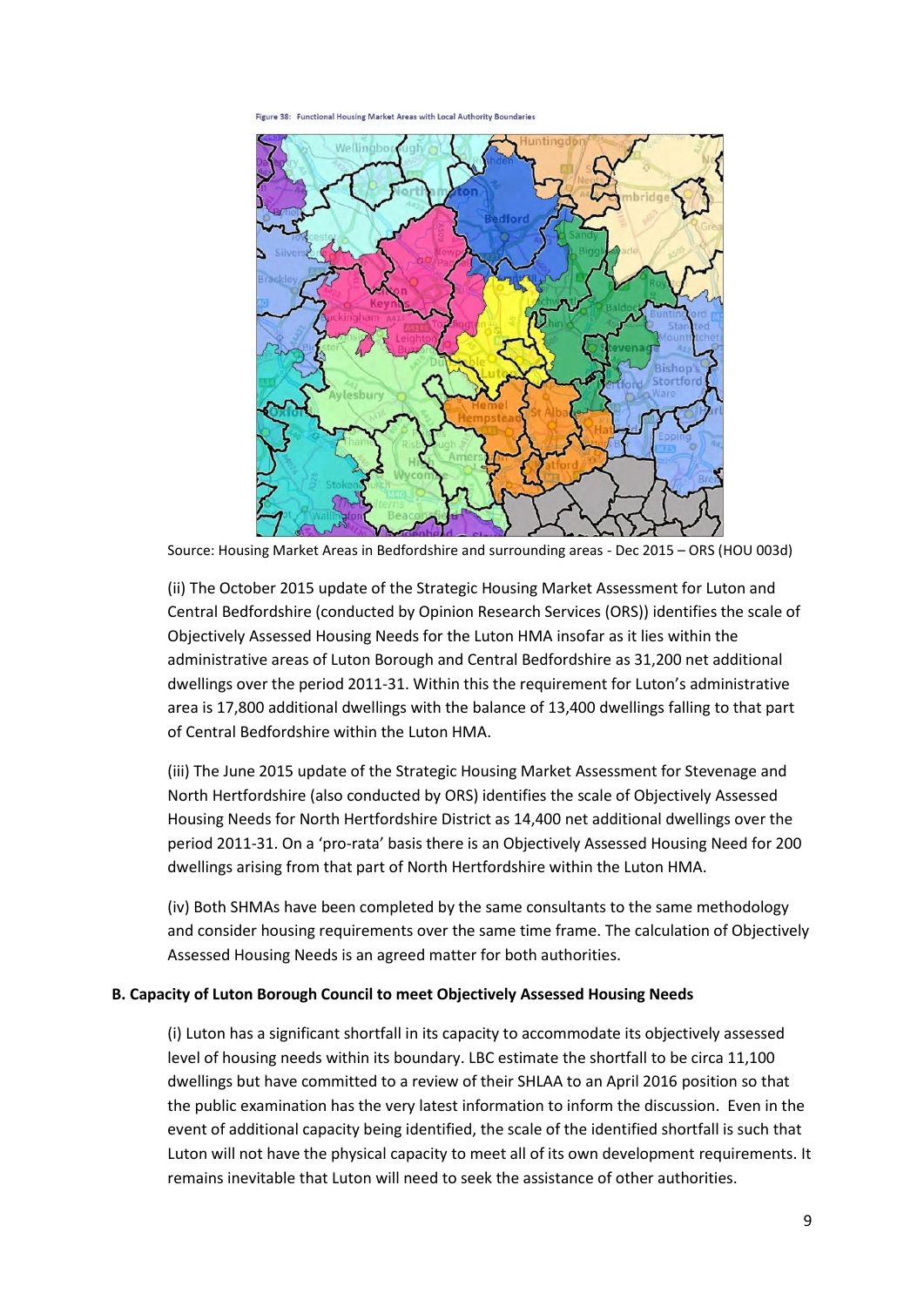$38<sub>1</sub>$ Functional Housing Market Areas with Local Authority Bor



Source: Housing Market Areas in Bedfordshire and surrounding areas - Dec 2015 – ORS (HOU 003d)

(ii) The October 2015 update of the Strategic Housing Market Assessment for Luton and Central Bedfordshire (conducted by Opinion Research Services (ORS)) identifies the scale of Objectively Assessed Housing Needs for the Luton HMA insofar as it lies within the administrative areas of Luton Borough and Central Bedfordshire as 31,200 net additional dwellings over the period 2011-31. Within this the requirement for Luton's administrative area is 17,800 additional dwellings with the balance of 13,400 dwellings falling to that part of Central Bedfordshire within the Luton HMA.

(iii) The June 2015 update of the Strategic Housing Market Assessment for Stevenage and North Hertfordshire (also conducted by ORS) identifies the scale of Objectively Assessed Housing Needs for North Hertfordshire District as 14,400 net additional dwellings over the period 2011-31. On a 'pro-rata' basis there is an Objectively Assessed Housing Need for 200 dwellings arising from that part of North Hertfordshire within the Luton HMA.

(iv) Both SHMAs have been completed by the same consultants to the same methodology and consider housing requirements over the same time frame. The calculation of Objectively Assessed Housing Needs is an agreed matter for both authorities.

#### **B. Capacity of Luton Borough Council to meet Objectively Assessed Housing Needs**

(i) Luton has a significant shortfall in its capacity to accommodate its objectively assessed level of housing needs within its boundary. LBC estimate the shortfall to be circa 11,100 dwellings but have committed to a review of their SHLAA to an April 2016 position so that the public examination has the very latest information to inform the discussion. Even in the event of additional capacity being identified, the scale of the identified shortfall is such that Luton will not have the physical capacity to meet all of its own development requirements. It remains inevitable that Luton will need to seek the assistance of other authorities.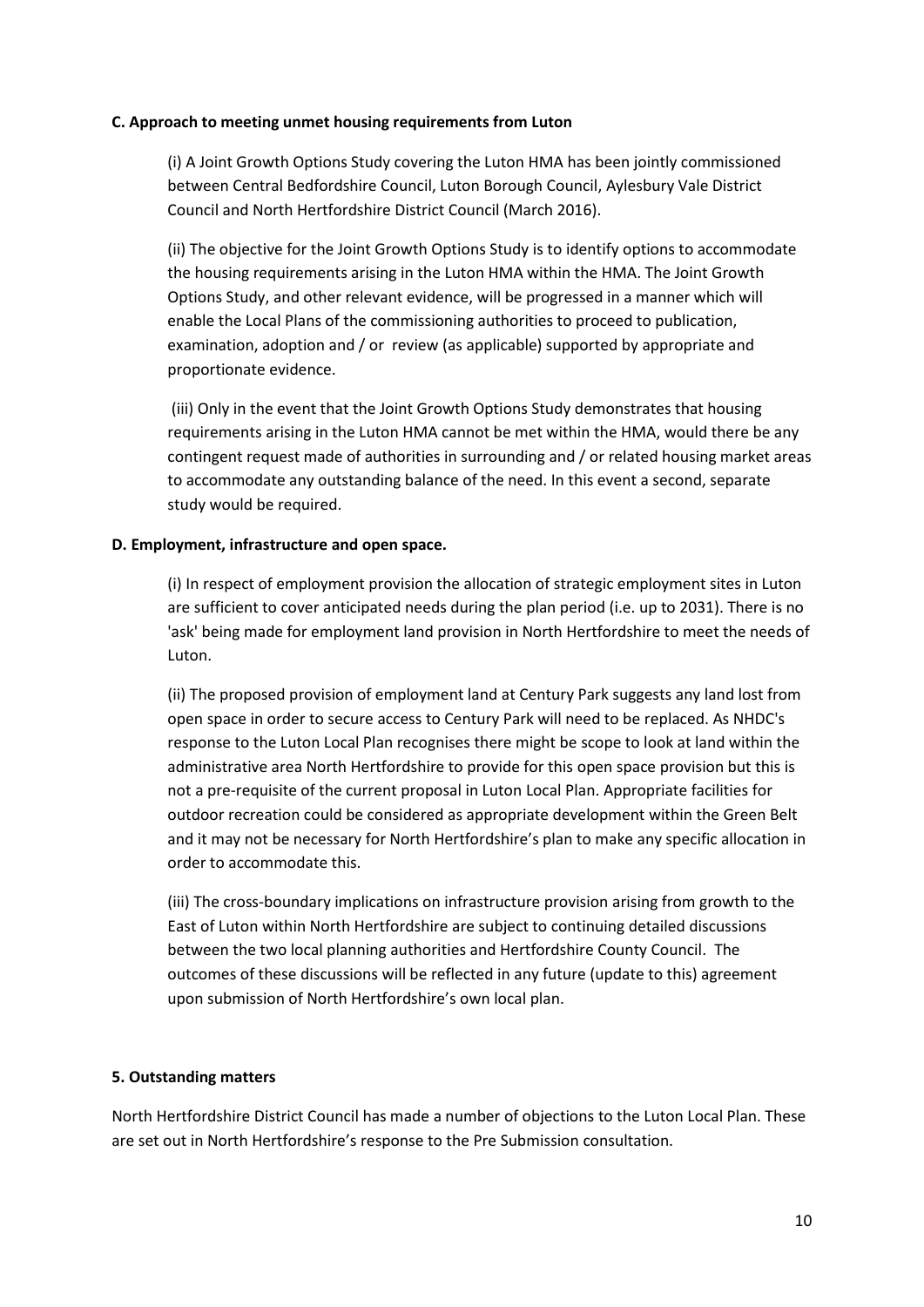#### **C. Approach to meeting unmet housing requirements from Luton**

(i) A Joint Growth Options Study covering the Luton HMA has been jointly commissioned between Central Bedfordshire Council, Luton Borough Council, Aylesbury Vale District Council and North Hertfordshire District Council (March 2016).

(ii) The objective for the Joint Growth Options Study is to identify options to accommodate the housing requirements arising in the Luton HMA within the HMA. The Joint Growth Options Study, and other relevant evidence, will be progressed in a manner which will enable the Local Plans of the commissioning authorities to proceed to publication, examination, adoption and / or review (as applicable) supported by appropriate and proportionate evidence.

(iii) Only in the event that the Joint Growth Options Study demonstrates that housing requirements arising in the Luton HMA cannot be met within the HMA, would there be any contingent request made of authorities in surrounding and / or related housing market areas to accommodate any outstanding balance of the need. In this event a second, separate study would be required.

#### **D. Employment, infrastructure and open space.**

(i) In respect of employment provision the allocation of strategic employment sites in Luton are sufficient to cover anticipated needs during the plan period (i.e. up to 2031). There is no 'ask' being made for employment land provision in North Hertfordshire to meet the needs of Luton.

(ii) The proposed provision of employment land at Century Park suggests any land lost from open space in order to secure access to Century Park will need to be replaced. As NHDC's response to the Luton Local Plan recognises there might be scope to look at land within the administrative area North Hertfordshire to provide for this open space provision but this is not a pre-requisite of the current proposal in Luton Local Plan. Appropriate facilities for outdoor recreation could be considered as appropriate development within the Green Belt and it may not be necessary for North Hertfordshire's plan to make any specific allocation in order to accommodate this.

(iii) The cross-boundary implications on infrastructure provision arising from growth to the East of Luton within North Hertfordshire are subject to continuing detailed discussions between the two local planning authorities and Hertfordshire County Council. The outcomes of these discussions will be reflected in any future (update to this) agreement upon submission of North Hertfordshire's own local plan.

#### **5. Outstanding matters**

North Hertfordshire District Council has made a number of objections to the Luton Local Plan. These are set out in North Hertfordshire's response to the Pre Submission consultation.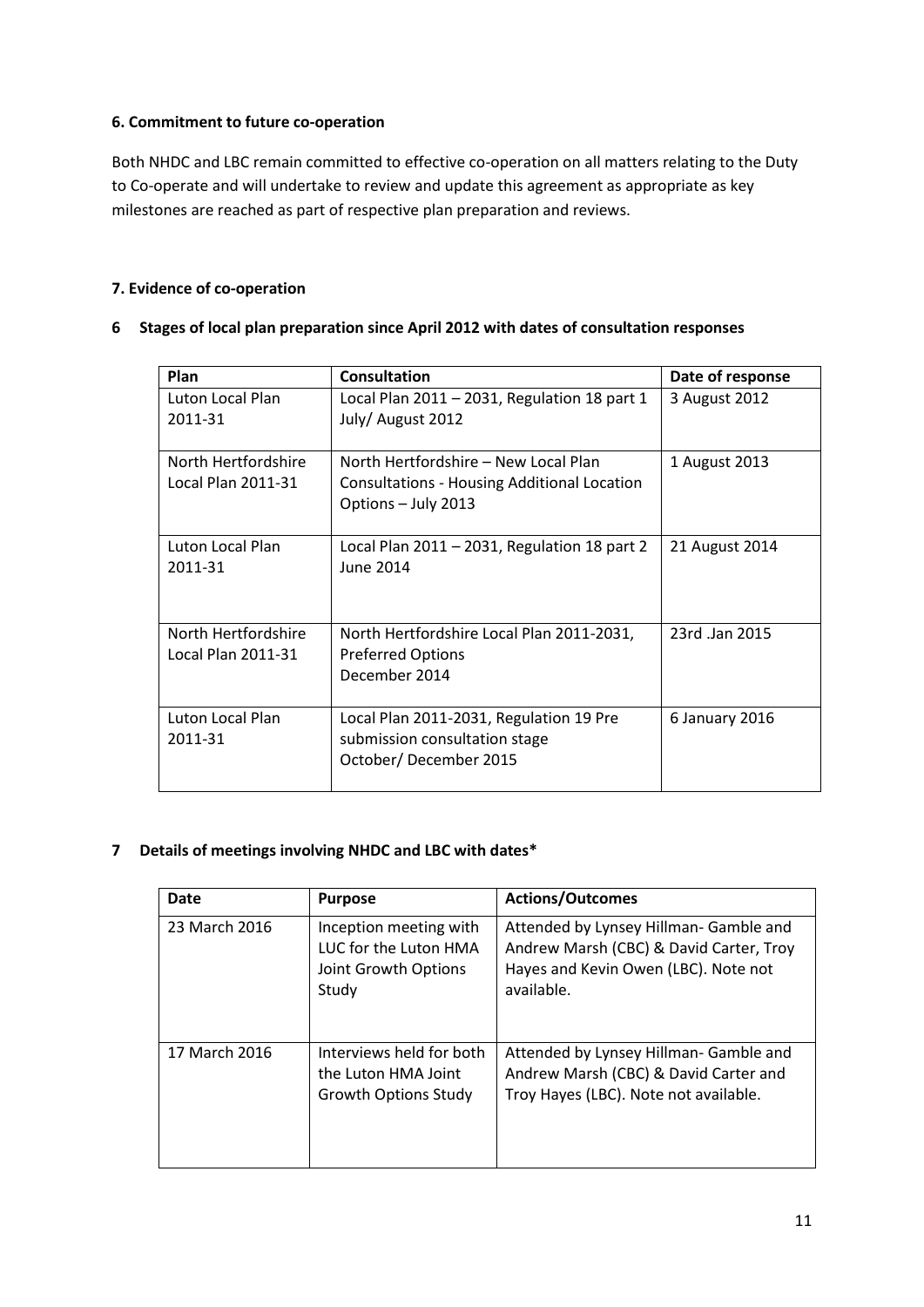### **6. Commitment to future co-operation**

Both NHDC and LBC remain committed to effective co-operation on all matters relating to the Duty to Co-operate and will undertake to review and update this agreement as appropriate as key milestones are reached as part of respective plan preparation and reviews.

### **7. Evidence of co-operation**

| <b>Plan</b>                               | <b>Consultation</b>                                                                                        | Date of response |
|-------------------------------------------|------------------------------------------------------------------------------------------------------------|------------------|
| Luton Local Plan<br>2011-31               | Local Plan $2011 - 2031$ , Regulation 18 part 1<br>July/ August 2012                                       | 3 August 2012    |
| North Hertfordshire<br>Local Plan 2011-31 | North Hertfordshire – New Local Plan<br>Consultations - Housing Additional Location<br>Options - July 2013 | 1 August 2013    |
| Luton Local Plan<br>2011-31               | Local Plan 2011 - 2031, Regulation 18 part 2<br>June 2014                                                  | 21 August 2014   |
| North Hertfordshire<br>Local Plan 2011-31 | North Hertfordshire Local Plan 2011-2031,<br><b>Preferred Options</b><br>December 2014                     | 23rd Jan 2015    |
| Luton Local Plan<br>2011-31               | Local Plan 2011-2031, Regulation 19 Pre<br>submission consultation stage<br>October/December 2015          | 6 January 2016   |

**6 Stages of local plan preparation since April 2012 with dates of consultation responses**

### **7 Details of meetings involving NHDC and LBC with dates\***

| Date          | <b>Purpose</b>                                                                   | <b>Actions/Outcomes</b>                                                                                                                 |
|---------------|----------------------------------------------------------------------------------|-----------------------------------------------------------------------------------------------------------------------------------------|
| 23 March 2016 | Inception meeting with<br>LUC for the Luton HMA<br>Joint Growth Options<br>Study | Attended by Lynsey Hillman- Gamble and<br>Andrew Marsh (CBC) & David Carter, Troy<br>Hayes and Kevin Owen (LBC). Note not<br>available. |
| 17 March 2016 | Interviews held for both<br>the Luton HMA Joint<br><b>Growth Options Study</b>   | Attended by Lynsey Hillman- Gamble and<br>Andrew Marsh (CBC) & David Carter and<br>Troy Hayes (LBC). Note not available.                |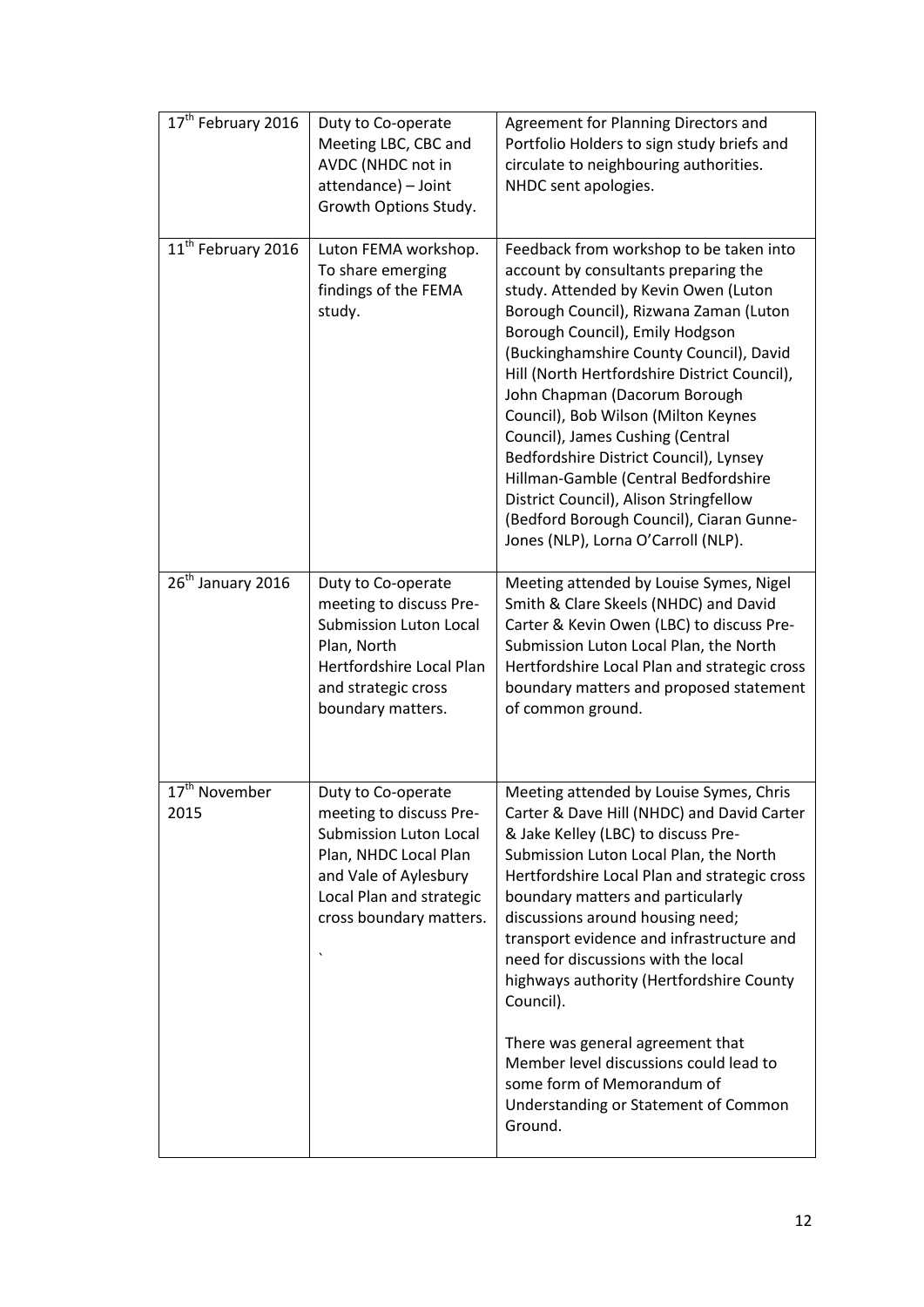| 17 <sup>th</sup> February 2016    | Duty to Co-operate<br>Meeting LBC, CBC and<br>AVDC (NHDC not in<br>attendance) - Joint<br>Growth Options Study.                                                                         | Agreement for Planning Directors and<br>Portfolio Holders to sign study briefs and<br>circulate to neighbouring authorities.<br>NHDC sent apologies.                                                                                                                                                                                                                                                                                                                                                                                                                                                                       |
|-----------------------------------|-----------------------------------------------------------------------------------------------------------------------------------------------------------------------------------------|----------------------------------------------------------------------------------------------------------------------------------------------------------------------------------------------------------------------------------------------------------------------------------------------------------------------------------------------------------------------------------------------------------------------------------------------------------------------------------------------------------------------------------------------------------------------------------------------------------------------------|
| 11 <sup>th</sup> February 2016    | Luton FEMA workshop.<br>To share emerging<br>findings of the FEMA<br>study.                                                                                                             | Feedback from workshop to be taken into<br>account by consultants preparing the<br>study. Attended by Kevin Owen (Luton<br>Borough Council), Rizwana Zaman (Luton<br>Borough Council), Emily Hodgson<br>(Buckinghamshire County Council), David<br>Hill (North Hertfordshire District Council),<br>John Chapman (Dacorum Borough<br>Council), Bob Wilson (Milton Keynes<br>Council), James Cushing (Central<br>Bedfordshire District Council), Lynsey<br>Hillman-Gamble (Central Bedfordshire<br>District Council), Alison Stringfellow<br>(Bedford Borough Council), Ciaran Gunne-<br>Jones (NLP), Lorna O'Carroll (NLP). |
| 26 <sup>th</sup> January 2016     | Duty to Co-operate<br>meeting to discuss Pre-<br><b>Submission Luton Local</b><br>Plan, North<br>Hertfordshire Local Plan<br>and strategic cross<br>boundary matters.                   | Meeting attended by Louise Symes, Nigel<br>Smith & Clare Skeels (NHDC) and David<br>Carter & Kevin Owen (LBC) to discuss Pre-<br>Submission Luton Local Plan, the North<br>Hertfordshire Local Plan and strategic cross<br>boundary matters and proposed statement<br>of common ground.                                                                                                                                                                                                                                                                                                                                    |
| 17 <sup>th</sup> November<br>2015 | Duty to Co-operate<br>meeting to discuss Pre-<br><b>Submission Luton Local</b><br>Plan, NHDC Local Plan<br>and Vale of Aylesbury<br>Local Plan and strategic<br>cross boundary matters. | Meeting attended by Louise Symes, Chris<br>Carter & Dave Hill (NHDC) and David Carter<br>& Jake Kelley (LBC) to discuss Pre-<br>Submission Luton Local Plan, the North<br>Hertfordshire Local Plan and strategic cross<br>boundary matters and particularly<br>discussions around housing need;<br>transport evidence and infrastructure and<br>need for discussions with the local<br>highways authority (Hertfordshire County<br>Council).                                                                                                                                                                               |
|                                   |                                                                                                                                                                                         | There was general agreement that<br>Member level discussions could lead to<br>some form of Memorandum of<br>Understanding or Statement of Common<br>Ground.                                                                                                                                                                                                                                                                                                                                                                                                                                                                |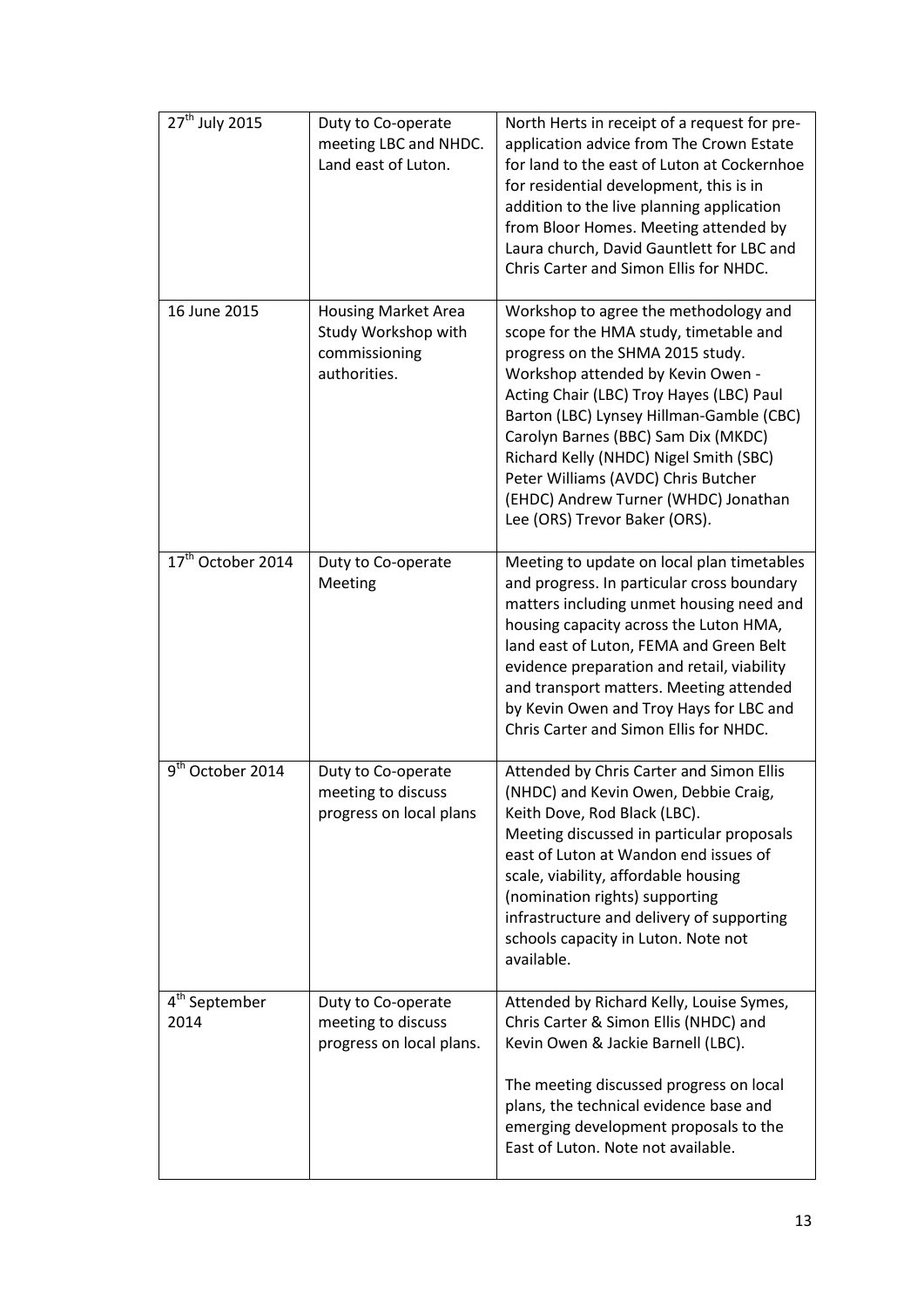| $27th$ July 2015                  | Duty to Co-operate<br>meeting LBC and NHDC.<br>Land east of Luton.                 | North Herts in receipt of a request for pre-<br>application advice from The Crown Estate<br>for land to the east of Luton at Cockernhoe<br>for residential development, this is in<br>addition to the live planning application<br>from Bloor Homes. Meeting attended by<br>Laura church, David Gauntlett for LBC and<br>Chris Carter and Simon Ellis for NHDC.                                                                                   |
|-----------------------------------|------------------------------------------------------------------------------------|---------------------------------------------------------------------------------------------------------------------------------------------------------------------------------------------------------------------------------------------------------------------------------------------------------------------------------------------------------------------------------------------------------------------------------------------------|
| 16 June 2015                      | <b>Housing Market Area</b><br>Study Workshop with<br>commissioning<br>authorities. | Workshop to agree the methodology and<br>scope for the HMA study, timetable and<br>progress on the SHMA 2015 study.<br>Workshop attended by Kevin Owen -<br>Acting Chair (LBC) Troy Hayes (LBC) Paul<br>Barton (LBC) Lynsey Hillman-Gamble (CBC)<br>Carolyn Barnes (BBC) Sam Dix (MKDC)<br>Richard Kelly (NHDC) Nigel Smith (SBC)<br>Peter Williams (AVDC) Chris Butcher<br>(EHDC) Andrew Turner (WHDC) Jonathan<br>Lee (ORS) Trevor Baker (ORS). |
| 17 <sup>th</sup> October 2014     | Duty to Co-operate<br>Meeting                                                      | Meeting to update on local plan timetables<br>and progress. In particular cross boundary<br>matters including unmet housing need and<br>housing capacity across the Luton HMA,<br>land east of Luton, FEMA and Green Belt<br>evidence preparation and retail, viability<br>and transport matters. Meeting attended<br>by Kevin Owen and Troy Hays for LBC and<br>Chris Carter and Simon Ellis for NHDC.                                           |
| 9 <sup>th</sup> October 2014      | Duty to Co-operate<br>meeting to discuss<br>progress on local plans                | Attended by Chris Carter and Simon Ellis<br>(NHDC) and Kevin Owen, Debbie Craig,<br>Keith Dove, Rod Black (LBC).<br>Meeting discussed in particular proposals<br>east of Luton at Wandon end issues of<br>scale, viability, affordable housing<br>(nomination rights) supporting<br>infrastructure and delivery of supporting<br>schools capacity in Luton. Note not<br>available.                                                                |
| 4 <sup>th</sup> September<br>2014 | Duty to Co-operate<br>meeting to discuss<br>progress on local plans.               | Attended by Richard Kelly, Louise Symes,<br>Chris Carter & Simon Ellis (NHDC) and<br>Kevin Owen & Jackie Barnell (LBC).<br>The meeting discussed progress on local<br>plans, the technical evidence base and<br>emerging development proposals to the<br>East of Luton. Note not available.                                                                                                                                                       |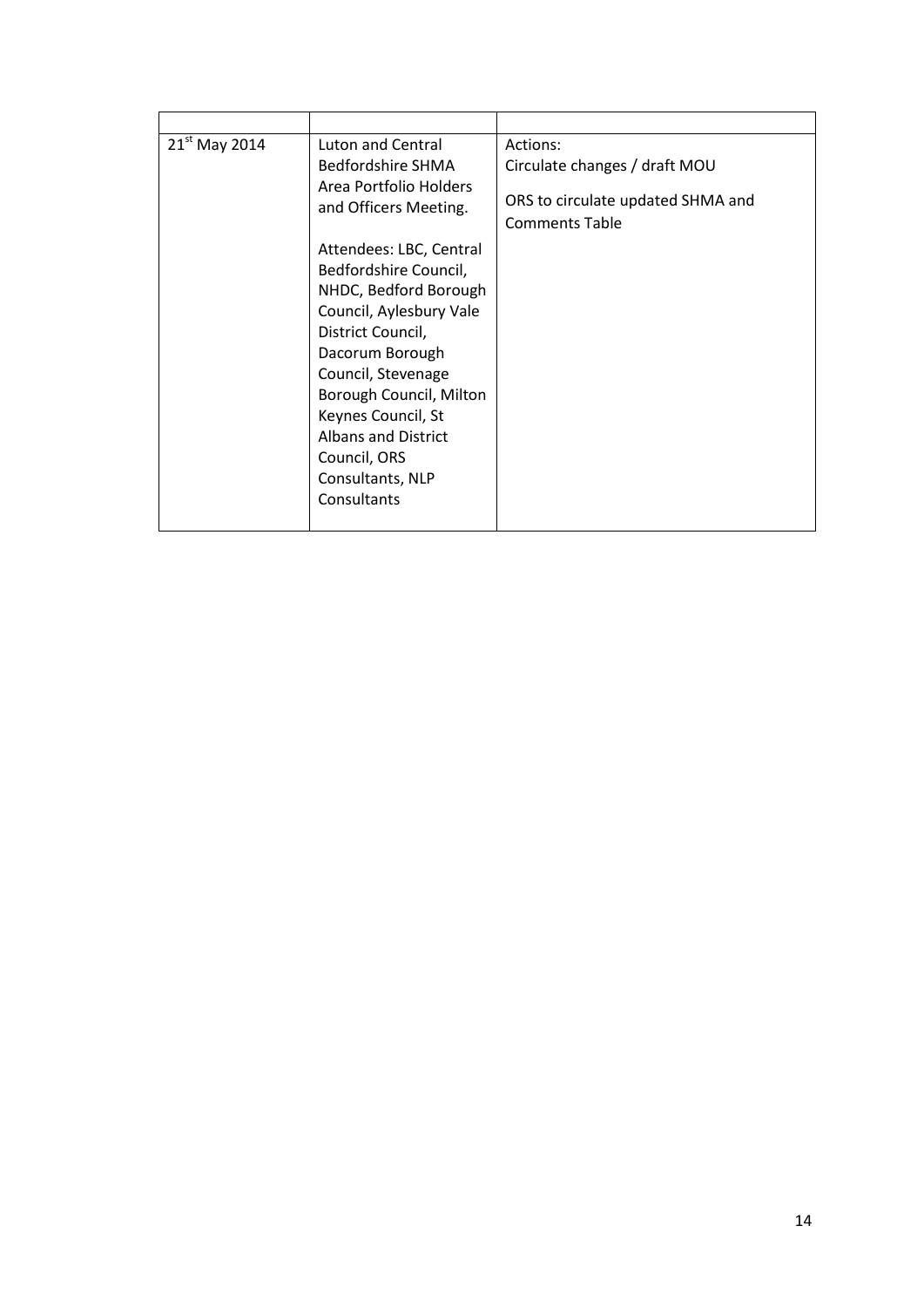| $21^{st}$ May 2014 | Luton and Central<br>Bedfordshire SHMA<br>Area Portfolio Holders<br>and Officers Meeting.<br>Attendees: LBC, Central<br>Bedfordshire Council,<br>NHDC, Bedford Borough<br>Council, Aylesbury Vale<br>District Council,<br>Dacorum Borough<br>Council, Stevenage<br>Borough Council, Milton<br>Keynes Council, St<br><b>Albans and District</b><br>Council, ORS<br>Consultants, NLP<br>Consultants | Actions:<br>Circulate changes / draft MOU<br>ORS to circulate updated SHMA and<br><b>Comments Table</b> |
|--------------------|---------------------------------------------------------------------------------------------------------------------------------------------------------------------------------------------------------------------------------------------------------------------------------------------------------------------------------------------------------------------------------------------------|---------------------------------------------------------------------------------------------------------|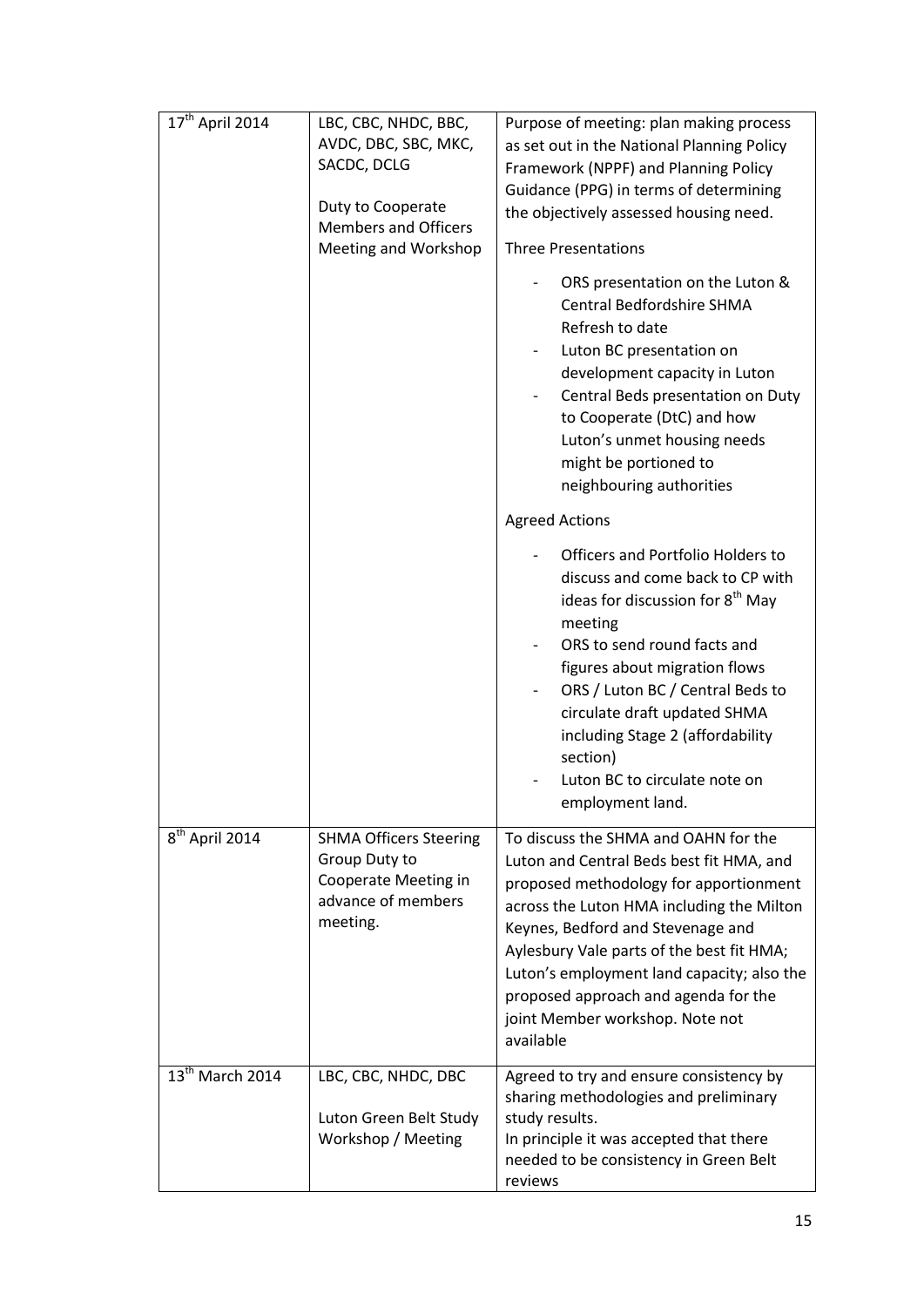| $17^{\text{th}}$ April 2014 | LBC, CBC, NHDC, BBC,<br>AVDC, DBC, SBC, MKC,<br>SACDC, DCLG<br>Duty to Cooperate<br><b>Members and Officers</b><br>Meeting and Workshop | Purpose of meeting: plan making process<br>as set out in the National Planning Policy<br>Framework (NPPF) and Planning Policy<br>Guidance (PPG) in terms of determining<br>the objectively assessed housing need.<br><b>Three Presentations</b><br>ORS presentation on the Luton &<br><b>Central Bedfordshire SHMA</b><br>Refresh to date<br>Luton BC presentation on<br>development capacity in Luton<br>Central Beds presentation on Duty<br>to Cooperate (DtC) and how<br>Luton's unmet housing needs<br>might be portioned to |
|-----------------------------|-----------------------------------------------------------------------------------------------------------------------------------------|-----------------------------------------------------------------------------------------------------------------------------------------------------------------------------------------------------------------------------------------------------------------------------------------------------------------------------------------------------------------------------------------------------------------------------------------------------------------------------------------------------------------------------------|
|                             |                                                                                                                                         | neighbouring authorities<br><b>Agreed Actions</b><br>Officers and Portfolio Holders to<br>discuss and come back to CP with<br>ideas for discussion for 8 <sup>th</sup> May<br>meeting<br>ORS to send round facts and<br>figures about migration flows                                                                                                                                                                                                                                                                             |
|                             |                                                                                                                                         | ORS / Luton BC / Central Beds to<br>circulate draft updated SHMA<br>including Stage 2 (affordability<br>section)<br>Luton BC to circulate note on<br>employment land.                                                                                                                                                                                                                                                                                                                                                             |
| 8 <sup>th</sup> April 2014  | <b>SHMA Officers Steering</b><br>Group Duty to<br>Cooperate Meeting in<br>advance of members<br>meeting.                                | To discuss the SHMA and OAHN for the<br>Luton and Central Beds best fit HMA, and<br>proposed methodology for apportionment<br>across the Luton HMA including the Milton<br>Keynes, Bedford and Stevenage and<br>Aylesbury Vale parts of the best fit HMA;<br>Luton's employment land capacity; also the<br>proposed approach and agenda for the<br>joint Member workshop. Note not<br>available                                                                                                                                   |
| $13th$ March 2014           | LBC, CBC, NHDC, DBC<br>Luton Green Belt Study<br>Workshop / Meeting                                                                     | Agreed to try and ensure consistency by<br>sharing methodologies and preliminary<br>study results.<br>In principle it was accepted that there<br>needed to be consistency in Green Belt<br>reviews                                                                                                                                                                                                                                                                                                                                |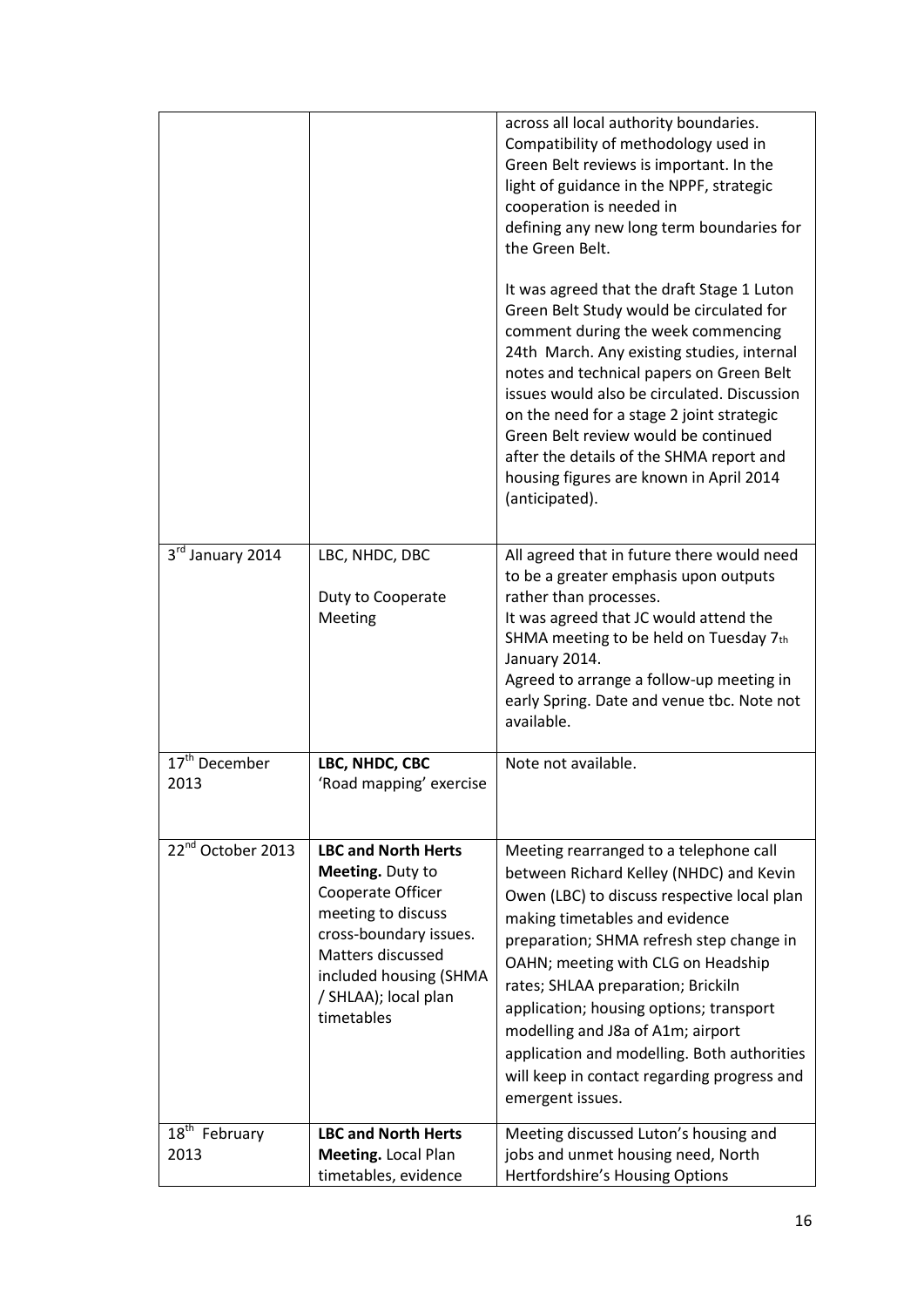|                                                |                                                                                                                                                                                                          | across all local authority boundaries.<br>Compatibility of methodology used in<br>Green Belt reviews is important. In the<br>light of guidance in the NPPF, strategic<br>cooperation is needed in<br>defining any new long term boundaries for<br>the Green Belt.                                                                                                                                                                                                                            |
|------------------------------------------------|----------------------------------------------------------------------------------------------------------------------------------------------------------------------------------------------------------|----------------------------------------------------------------------------------------------------------------------------------------------------------------------------------------------------------------------------------------------------------------------------------------------------------------------------------------------------------------------------------------------------------------------------------------------------------------------------------------------|
|                                                |                                                                                                                                                                                                          | It was agreed that the draft Stage 1 Luton<br>Green Belt Study would be circulated for<br>comment during the week commencing<br>24th March. Any existing studies, internal<br>notes and technical papers on Green Belt<br>issues would also be circulated. Discussion<br>on the need for a stage 2 joint strategic<br>Green Belt review would be continued<br>after the details of the SHMA report and<br>housing figures are known in April 2014<br>(anticipated).                          |
| 3rd January 2014                               | LBC, NHDC, DBC<br>Duty to Cooperate<br>Meeting                                                                                                                                                           | All agreed that in future there would need<br>to be a greater emphasis upon outputs<br>rather than processes.<br>It was agreed that JC would attend the<br>SHMA meeting to be held on Tuesday 7th<br>January 2014.<br>Agreed to arrange a follow-up meeting in<br>early Spring. Date and venue tbc. Note not                                                                                                                                                                                 |
|                                                |                                                                                                                                                                                                          | available.                                                                                                                                                                                                                                                                                                                                                                                                                                                                                   |
| $\overline{17}$ <sup>th</sup> December<br>2013 | LBC, NHDC, CBC<br>'Road mapping' exercise                                                                                                                                                                | Note not available.                                                                                                                                                                                                                                                                                                                                                                                                                                                                          |
| 22 <sup>nd</sup> October 2013                  | <b>LBC and North Herts</b><br>Meeting. Duty to<br>Cooperate Officer<br>meeting to discuss<br>cross-boundary issues.<br>Matters discussed<br>included housing (SHMA<br>/ SHLAA); local plan<br>timetables | Meeting rearranged to a telephone call<br>between Richard Kelley (NHDC) and Kevin<br>Owen (LBC) to discuss respective local plan<br>making timetables and evidence<br>preparation; SHMA refresh step change in<br>OAHN; meeting with CLG on Headship<br>rates; SHLAA preparation; Brickiln<br>application; housing options; transport<br>modelling and J8a of A1m; airport<br>application and modelling. Both authorities<br>will keep in contact regarding progress and<br>emergent issues. |
| 18 <sup>th</sup> February                      | <b>LBC and North Herts</b>                                                                                                                                                                               | Meeting discussed Luton's housing and                                                                                                                                                                                                                                                                                                                                                                                                                                                        |
| 2013                                           | Meeting. Local Plan<br>timetables, evidence                                                                                                                                                              | jobs and unmet housing need, North<br>Hertfordshire's Housing Options                                                                                                                                                                                                                                                                                                                                                                                                                        |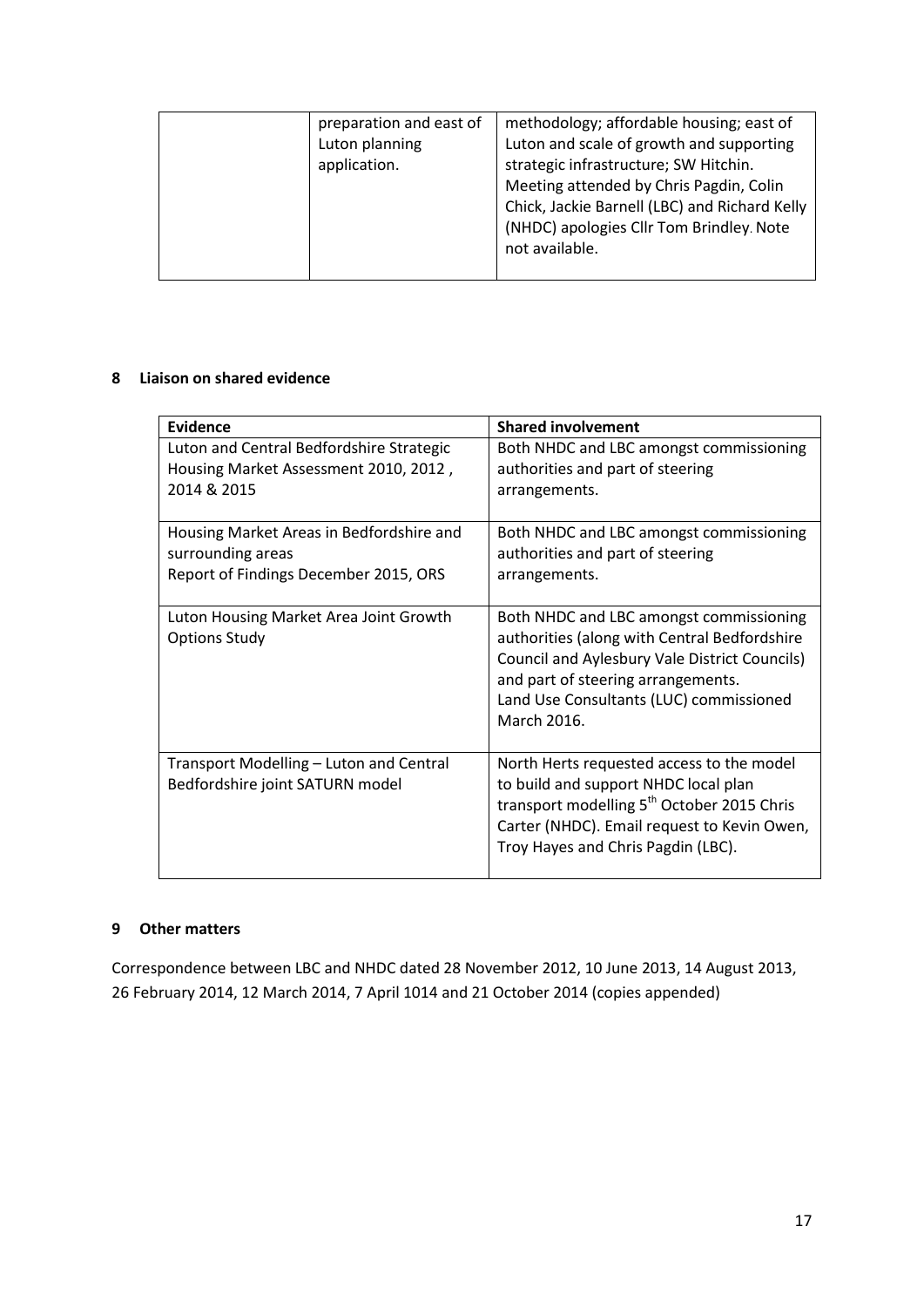| preparation and east of<br>Luton planning<br>application. | methodology; affordable housing; east of<br>Luton and scale of growth and supporting<br>strategic infrastructure; SW Hitchin.<br>Meeting attended by Chris Pagdin, Colin<br>Chick, Jackie Barnell (LBC) and Richard Kelly<br>(NHDC) apologies Cllr Tom Brindley. Note<br>not available. |
|-----------------------------------------------------------|-----------------------------------------------------------------------------------------------------------------------------------------------------------------------------------------------------------------------------------------------------------------------------------------|
|-----------------------------------------------------------|-----------------------------------------------------------------------------------------------------------------------------------------------------------------------------------------------------------------------------------------------------------------------------------------|

#### **8 Liaison on shared evidence**

| Evidence                                                                                               | <b>Shared involvement</b>                                                                                                                                                                                                                |
|--------------------------------------------------------------------------------------------------------|------------------------------------------------------------------------------------------------------------------------------------------------------------------------------------------------------------------------------------------|
| Luton and Central Bedfordshire Strategic<br>Housing Market Assessment 2010, 2012,<br>2014 & 2015       | Both NHDC and LBC amongst commissioning<br>authorities and part of steering<br>arrangements.                                                                                                                                             |
| Housing Market Areas in Bedfordshire and<br>surrounding areas<br>Report of Findings December 2015, ORS | Both NHDC and LBC amongst commissioning<br>authorities and part of steering<br>arrangements.                                                                                                                                             |
| Luton Housing Market Area Joint Growth<br><b>Options Study</b>                                         | Both NHDC and LBC amongst commissioning<br>authorities (along with Central Bedfordshire<br>Council and Aylesbury Vale District Councils)<br>and part of steering arrangements.<br>Land Use Consultants (LUC) commissioned<br>March 2016. |
| Transport Modelling - Luton and Central<br>Bedfordshire joint SATURN model                             | North Herts requested access to the model<br>to build and support NHDC local plan<br>transport modelling 5 <sup>th</sup> October 2015 Chris<br>Carter (NHDC). Email request to Kevin Owen,<br>Troy Hayes and Chris Pagdin (LBC).         |

#### **9 Other matters**

Correspondence between LBC and NHDC dated 28 November 2012, 10 June 2013, 14 August 2013, 26 February 2014, 12 March 2014, 7 April 1014 and 21 October 2014 (copies appended)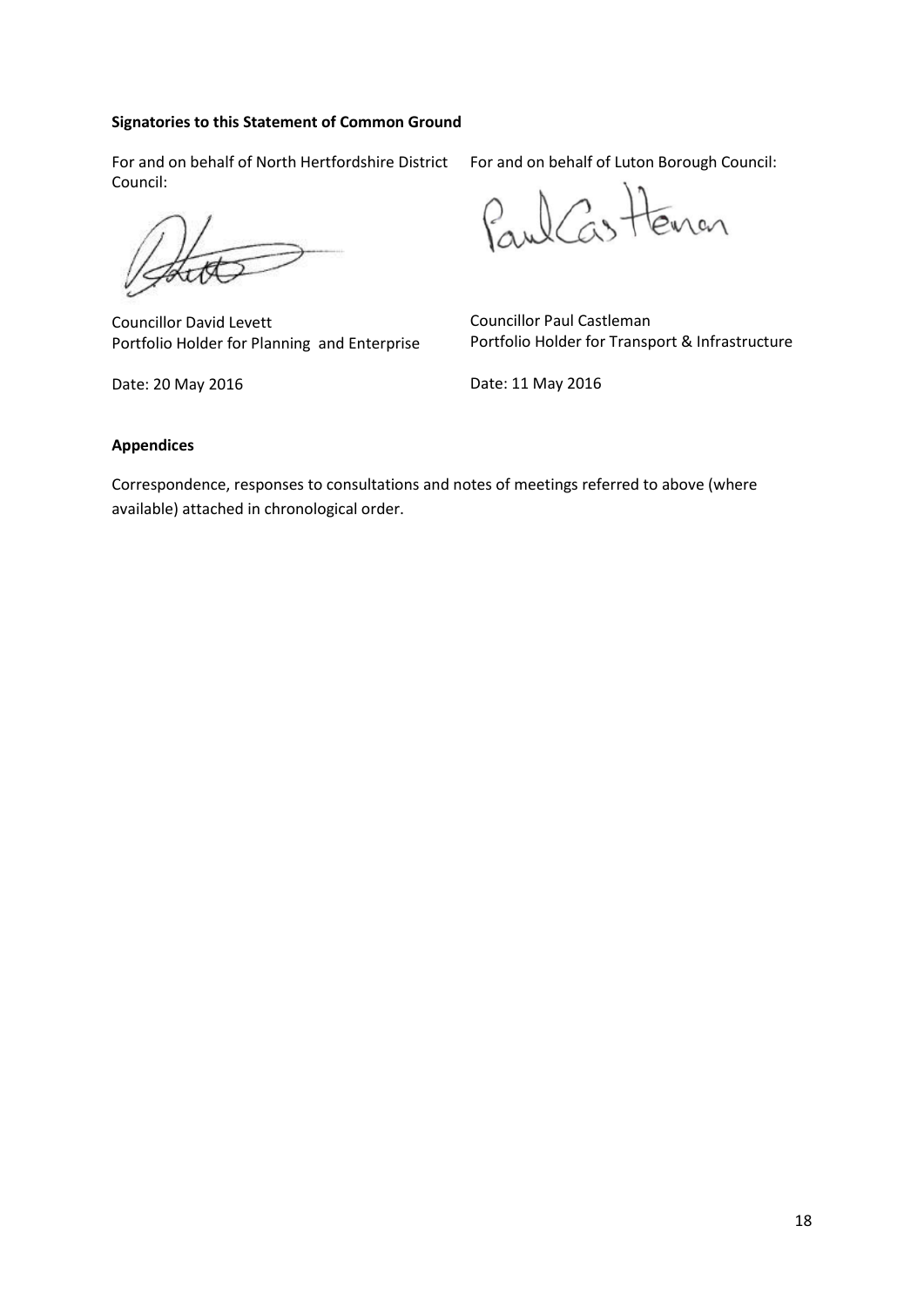#### **Signatories to this Statement of Common Ground**

For and on behalf of North Hertfordshire District Council:

Councillor David Levett Portfolio Holder for Planning and Enterprise

Date: 20 May 2016

For and on behalf of Luton Borough Council:

Paul Castenan

Councillor Paul Castleman Portfolio Holder for Transport & Infrastructure

Date: 11 May 2016

#### **Appendices**

Correspondence, responses to consultations and notes of meetings referred to above (where available) attached in chronological order.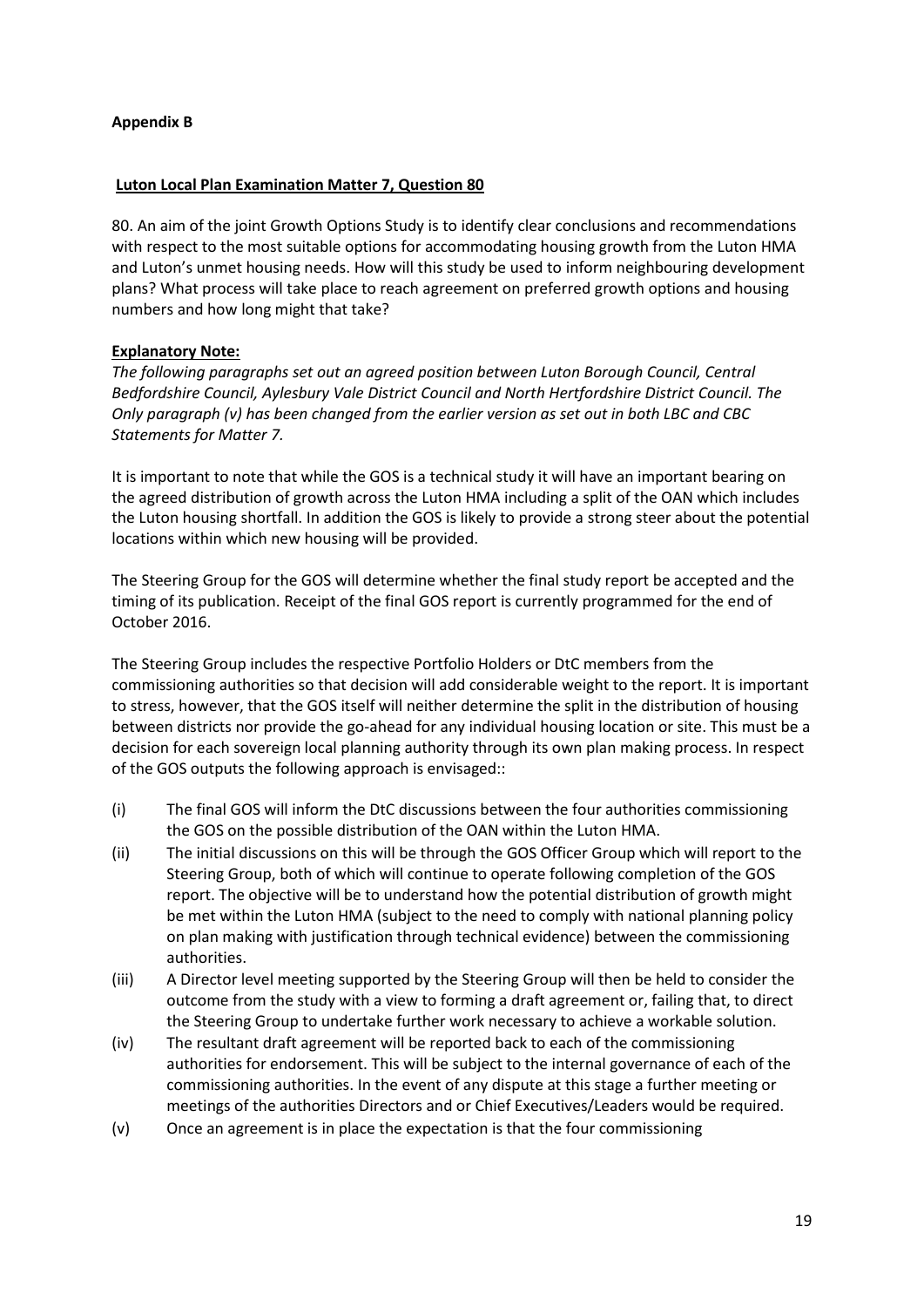#### **Appendix B**

#### **Luton Local Plan Examination Matter 7, Question 80**

80. An aim of the joint Growth Options Study is to identify clear conclusions and recommendations with respect to the most suitable options for accommodating housing growth from the Luton HMA and Luton's unmet housing needs. How will this study be used to inform neighbouring development plans? What process will take place to reach agreement on preferred growth options and housing numbers and how long might that take?

#### **Explanatory Note:**

*The following paragraphs set out an agreed position between Luton Borough Council, Central Bedfordshire Council, Aylesbury Vale District Council and North Hertfordshire District Council. The Only paragraph (v) has been changed from the earlier version as set out in both LBC and CBC Statements for Matter 7.* 

It is important to note that while the GOS is a technical study it will have an important bearing on the agreed distribution of growth across the Luton HMA including a split of the OAN which includes the Luton housing shortfall. In addition the GOS is likely to provide a strong steer about the potential locations within which new housing will be provided.

The Steering Group for the GOS will determine whether the final study report be accepted and the timing of its publication. Receipt of the final GOS report is currently programmed for the end of October 2016.

The Steering Group includes the respective Portfolio Holders or DtC members from the commissioning authorities so that decision will add considerable weight to the report. It is important to stress, however, that the GOS itself will neither determine the split in the distribution of housing between districts nor provide the go-ahead for any individual housing location or site. This must be a decision for each sovereign local planning authority through its own plan making process. In respect of the GOS outputs the following approach is envisaged::

- (i) The final GOS will inform the DtC discussions between the four authorities commissioning the GOS on the possible distribution of the OAN within the Luton HMA.
- (ii) The initial discussions on this will be through the GOS Officer Group which will report to the Steering Group, both of which will continue to operate following completion of the GOS report. The objective will be to understand how the potential distribution of growth might be met within the Luton HMA (subject to the need to comply with national planning policy on plan making with justification through technical evidence) between the commissioning authorities.
- (iii) A Director level meeting supported by the Steering Group will then be held to consider the outcome from the study with a view to forming a draft agreement or, failing that, to direct the Steering Group to undertake further work necessary to achieve a workable solution.
- (iv) The resultant draft agreement will be reported back to each of the commissioning authorities for endorsement. This will be subject to the internal governance of each of the commissioning authorities. In the event of any dispute at this stage a further meeting or meetings of the authorities Directors and or Chief Executives/Leaders would be required.
- (v) Once an agreement is in place the expectation is that the four commissioning